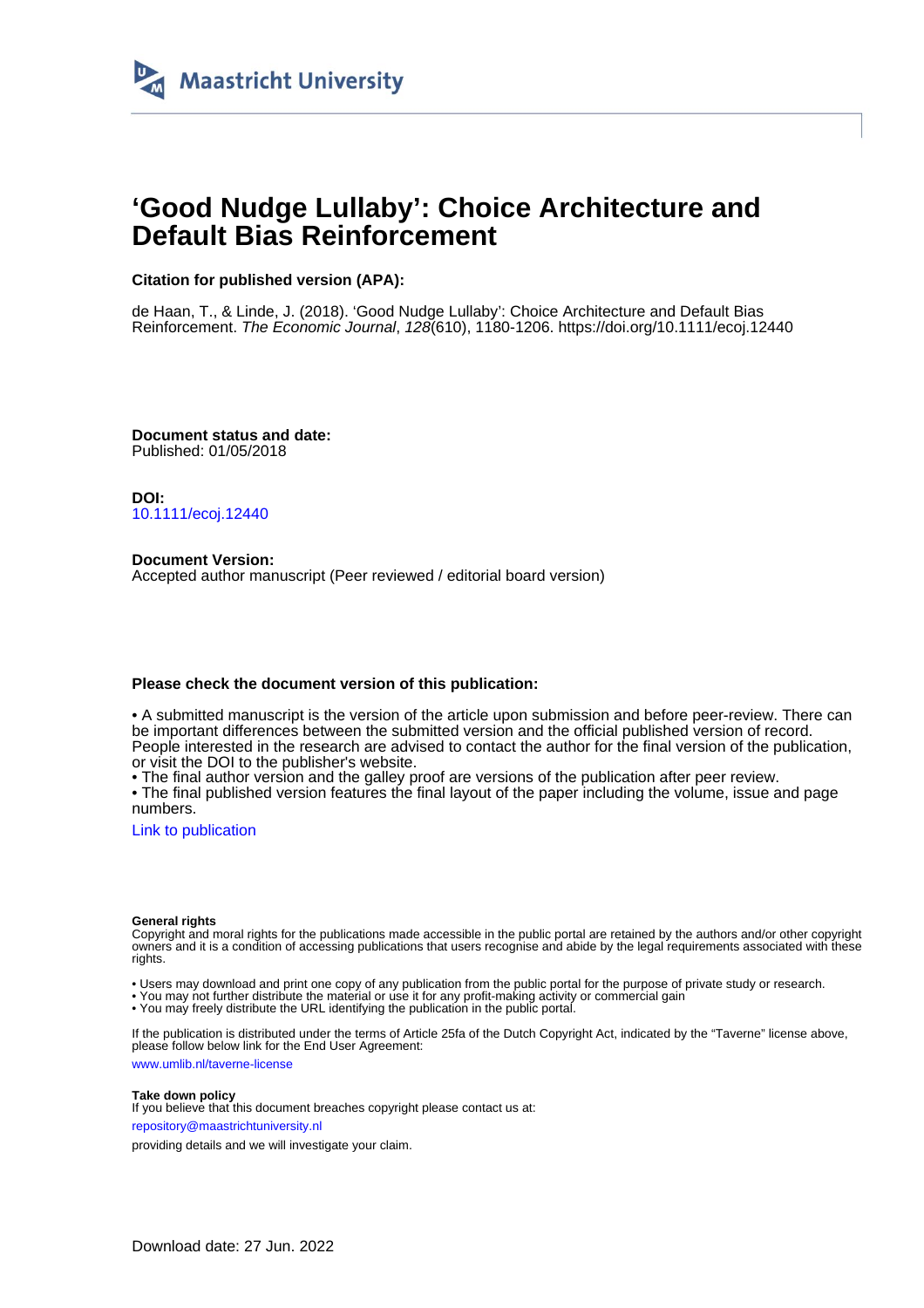

# **'Good Nudge Lullaby': Choice Architecture and Default Bias Reinforcement**

## **Citation for published version (APA):**

de Haan, T., & Linde, J. (2018). 'Good Nudge Lullaby': Choice Architecture and Default Bias Reinforcement. The Economic Journal, 128(610), 1180-1206. <https://doi.org/10.1111/ecoj.12440>

**Document status and date:** Published: 01/05/2018

**DOI:** [10.1111/ecoj.12440](https://doi.org/10.1111/ecoj.12440)

**Document Version:** Accepted author manuscript (Peer reviewed / editorial board version)

#### **Please check the document version of this publication:**

• A submitted manuscript is the version of the article upon submission and before peer-review. There can be important differences between the submitted version and the official published version of record. People interested in the research are advised to contact the author for the final version of the publication, or visit the DOI to the publisher's website.

• The final author version and the galley proof are versions of the publication after peer review.

• The final published version features the final layout of the paper including the volume, issue and page numbers.

[Link to publication](https://cris.maastrichtuniversity.nl/en/publications/100e6bc0-1468-453c-8620-383c31fdb26e)

#### **General rights**

Copyright and moral rights for the publications made accessible in the public portal are retained by the authors and/or other copyright owners and it is a condition of accessing publications that users recognise and abide by the legal requirements associated with these rights.

• Users may download and print one copy of any publication from the public portal for the purpose of private study or research.

• You may not further distribute the material or use it for any profit-making activity or commercial gain

• You may freely distribute the URL identifying the publication in the public portal.

If the publication is distributed under the terms of Article 25fa of the Dutch Copyright Act, indicated by the "Taverne" license above, please follow below link for the End User Agreement:

www.umlib.nl/taverne-license

#### **Take down policy**

If you believe that this document breaches copyright please contact us at: repository@maastrichtuniversity.nl

providing details and we will investigate your claim.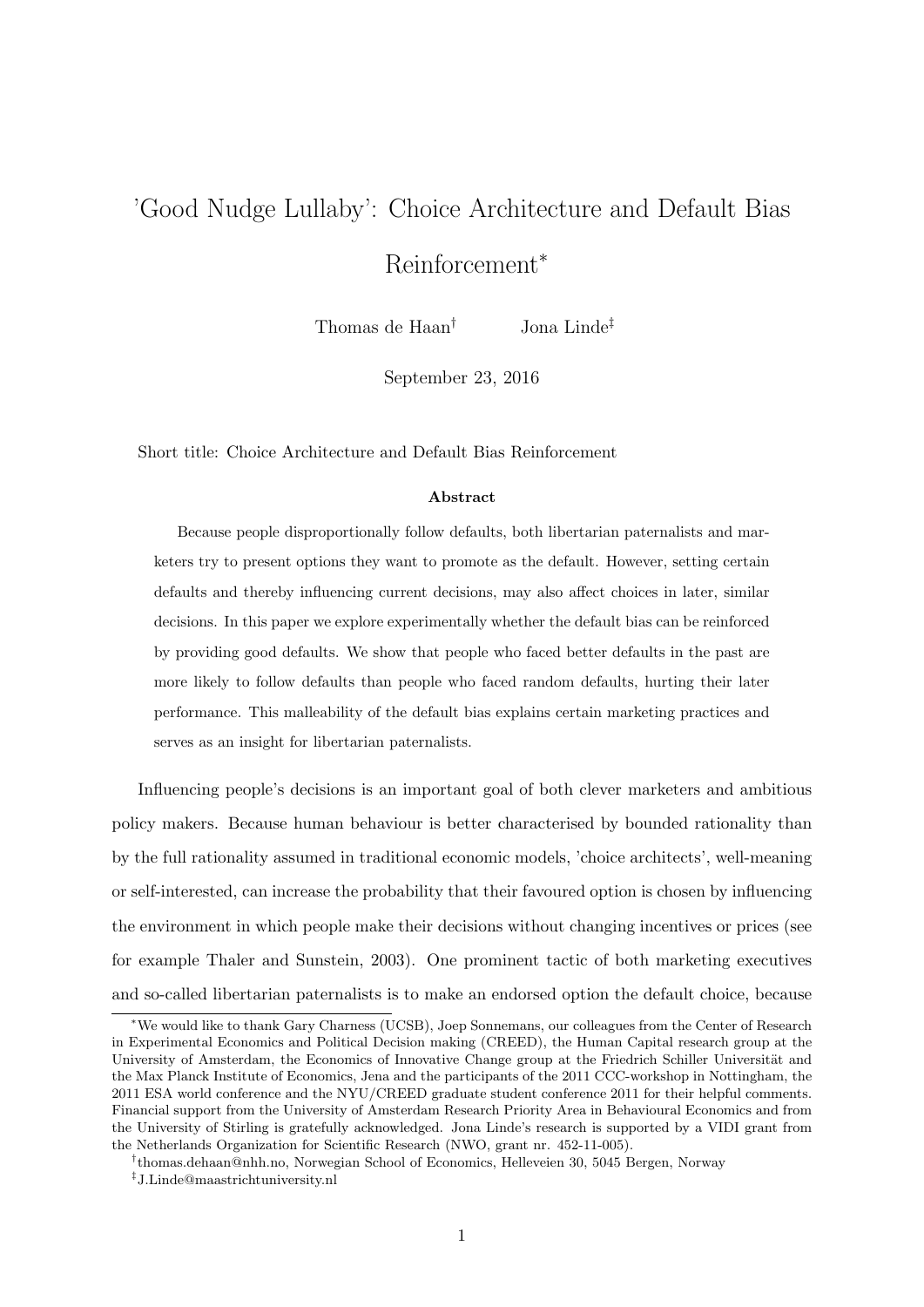# 'Good Nudge Lullaby': Choice Architecture and Default Bias Reinforcement<sup>∗</sup>

Thomas de Haan† Jona Linde‡

September 23, 2016

Short title: Choice Architecture and Default Bias Reinforcement

#### Abstract

Because people disproportionally follow defaults, both libertarian paternalists and marketers try to present options they want to promote as the default. However, setting certain defaults and thereby influencing current decisions, may also affect choices in later, similar decisions. In this paper we explore experimentally whether the default bias can be reinforced by providing good defaults. We show that people who faced better defaults in the past are more likely to follow defaults than people who faced random defaults, hurting their later performance. This malleability of the default bias explains certain marketing practices and serves as an insight for libertarian paternalists.

Influencing people's decisions is an important goal of both clever marketers and ambitious policy makers. Because human behaviour is better characterised by bounded rationality than by the full rationality assumed in traditional economic models, 'choice architects', well-meaning or self-interested, can increase the probability that their favoured option is chosen by influencing the environment in which people make their decisions without changing incentives or prices (see for example Thaler and Sunstein, 2003). One prominent tactic of both marketing executives and so-called libertarian paternalists is to make an endorsed option the default choice, because

<sup>∗</sup>We would like to thank Gary Charness (UCSB), Joep Sonnemans, our colleagues from the Center of Research in Experimental Economics and Political Decision making (CREED), the Human Capital research group at the University of Amsterdam, the Economics of Innovative Change group at the Friedrich Schiller Universität and the Max Planck Institute of Economics, Jena and the participants of the 2011 CCC-workshop in Nottingham, the 2011 ESA world conference and the NYU/CREED graduate student conference 2011 for their helpful comments. Financial support from the University of Amsterdam Research Priority Area in Behavioural Economics and from the University of Stirling is gratefully acknowledged. Jona Linde's research is supported by a VIDI grant from the Netherlands Organization for Scientific Research (NWO, grant nr. 452-11-005).

<sup>†</sup> thomas.dehaan@nhh.no, Norwegian School of Economics, Helleveien 30, 5045 Bergen, Norway

<sup>‡</sup> J.Linde@maastrichtuniversity.nl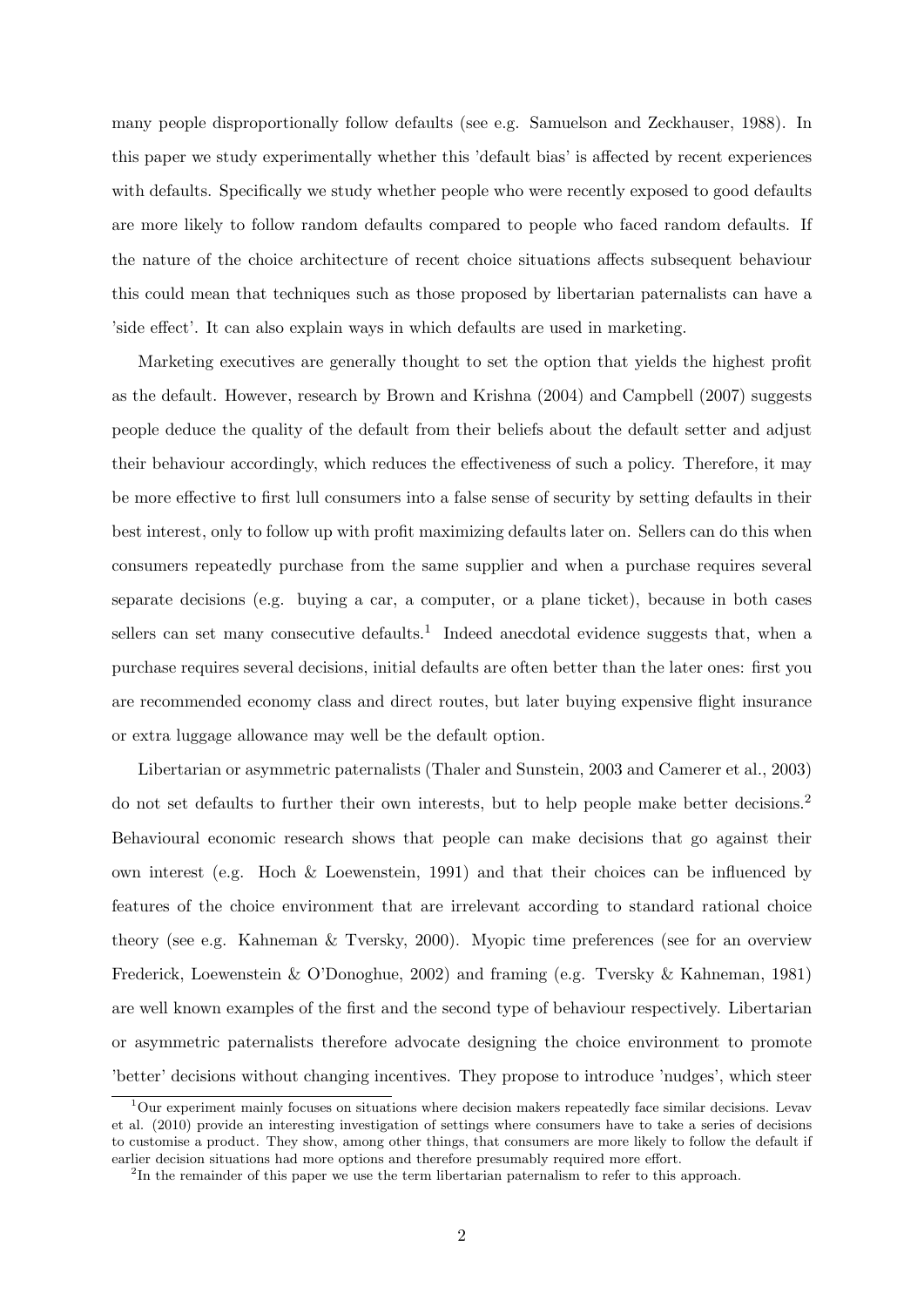many people disproportionally follow defaults (see e.g. Samuelson and Zeckhauser, 1988). In this paper we study experimentally whether this 'default bias' is affected by recent experiences with defaults. Specifically we study whether people who were recently exposed to good defaults are more likely to follow random defaults compared to people who faced random defaults. If the nature of the choice architecture of recent choice situations affects subsequent behaviour this could mean that techniques such as those proposed by libertarian paternalists can have a 'side effect'. It can also explain ways in which defaults are used in marketing.

Marketing executives are generally thought to set the option that yields the highest profit as the default. However, research by Brown and Krishna (2004) and Campbell (2007) suggests people deduce the quality of the default from their beliefs about the default setter and adjust their behaviour accordingly, which reduces the effectiveness of such a policy. Therefore, it may be more effective to first lull consumers into a false sense of security by setting defaults in their best interest, only to follow up with profit maximizing defaults later on. Sellers can do this when consumers repeatedly purchase from the same supplier and when a purchase requires several separate decisions (e.g. buying a car, a computer, or a plane ticket), because in both cases sellers can set many consecutive defaults.<sup>1</sup> Indeed anecdotal evidence suggests that, when a purchase requires several decisions, initial defaults are often better than the later ones: first you are recommended economy class and direct routes, but later buying expensive flight insurance or extra luggage allowance may well be the default option.

Libertarian or asymmetric paternalists (Thaler and Sunstein, 2003 and Camerer et al., 2003) do not set defaults to further their own interests, but to help people make better decisions.<sup>2</sup> Behavioural economic research shows that people can make decisions that go against their own interest (e.g. Hoch  $\&$  Loewenstein, 1991) and that their choices can be influenced by features of the choice environment that are irrelevant according to standard rational choice theory (see e.g. Kahneman & Tversky, 2000). Myopic time preferences (see for an overview Frederick, Loewenstein & O'Donoghue, 2002) and framing (e.g. Tversky & Kahneman, 1981) are well known examples of the first and the second type of behaviour respectively. Libertarian or asymmetric paternalists therefore advocate designing the choice environment to promote 'better' decisions without changing incentives. They propose to introduce 'nudges', which steer

<sup>&</sup>lt;sup>1</sup>Our experiment mainly focuses on situations where decision makers repeatedly face similar decisions. Levav et al. (2010) provide an interesting investigation of settings where consumers have to take a series of decisions to customise a product. They show, among other things, that consumers are more likely to follow the default if earlier decision situations had more options and therefore presumably required more effort.

<sup>&</sup>lt;sup>2</sup>In the remainder of this paper we use the term libertarian paternalism to refer to this approach.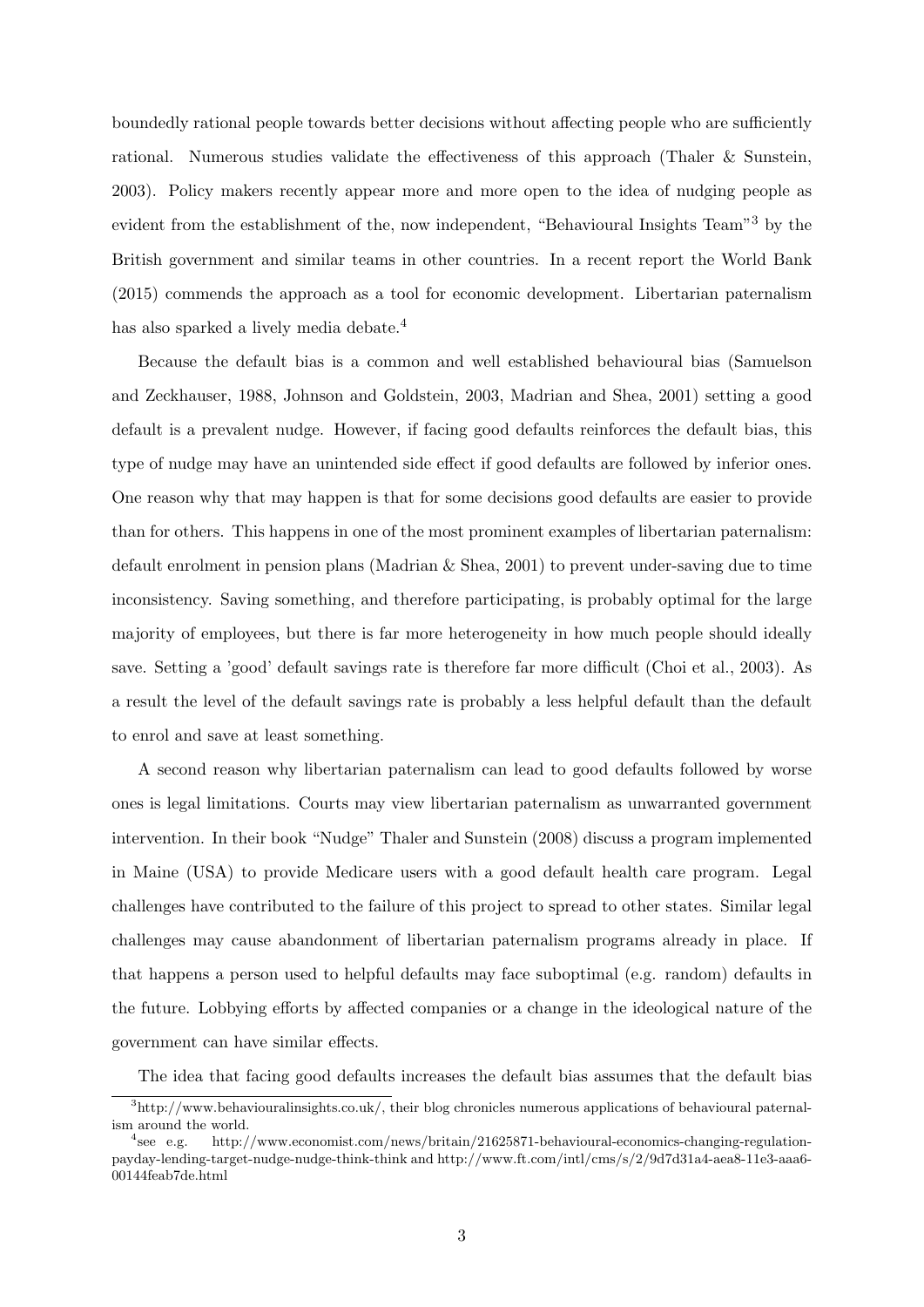boundedly rational people towards better decisions without affecting people who are sufficiently rational. Numerous studies validate the effectiveness of this approach (Thaler & Sunstein, 2003). Policy makers recently appear more and more open to the idea of nudging people as evident from the establishment of the, now independent, "Behavioural Insights Team"<sup>3</sup> by the British government and similar teams in other countries. In a recent report the World Bank (2015) commends the approach as a tool for economic development. Libertarian paternalism has also sparked a lively media debate.<sup>4</sup>

Because the default bias is a common and well established behavioural bias (Samuelson and Zeckhauser, 1988, Johnson and Goldstein, 2003, Madrian and Shea, 2001) setting a good default is a prevalent nudge. However, if facing good defaults reinforces the default bias, this type of nudge may have an unintended side effect if good defaults are followed by inferior ones. One reason why that may happen is that for some decisions good defaults are easier to provide than for others. This happens in one of the most prominent examples of libertarian paternalism: default enrolment in pension plans (Madrian & Shea, 2001) to prevent under-saving due to time inconsistency. Saving something, and therefore participating, is probably optimal for the large majority of employees, but there is far more heterogeneity in how much people should ideally save. Setting a 'good' default savings rate is therefore far more difficult (Choi et al., 2003). As a result the level of the default savings rate is probably a less helpful default than the default to enrol and save at least something.

A second reason why libertarian paternalism can lead to good defaults followed by worse ones is legal limitations. Courts may view libertarian paternalism as unwarranted government intervention. In their book "Nudge" Thaler and Sunstein (2008) discuss a program implemented in Maine (USA) to provide Medicare users with a good default health care program. Legal challenges have contributed to the failure of this project to spread to other states. Similar legal challenges may cause abandonment of libertarian paternalism programs already in place. If that happens a person used to helpful defaults may face suboptimal (e.g. random) defaults in the future. Lobbying efforts by affected companies or a change in the ideological nature of the government can have similar effects.

The idea that facing good defaults increases the default bias assumes that the default bias

 ${}^{3}$ http://www.behaviouralinsights.co.uk/, their blog chronicles numerous applications of behavioural paternalism around the world.

 $4$ see e.g. http://www.economist.com/news/britain/21625871-behavioural-economics-changing-regulationpayday-lending-target-nudge-nudge-think-think and http://www.ft.com/intl/cms/s/2/9d7d31a4-aea8-11e3-aaa6- 00144feab7de.html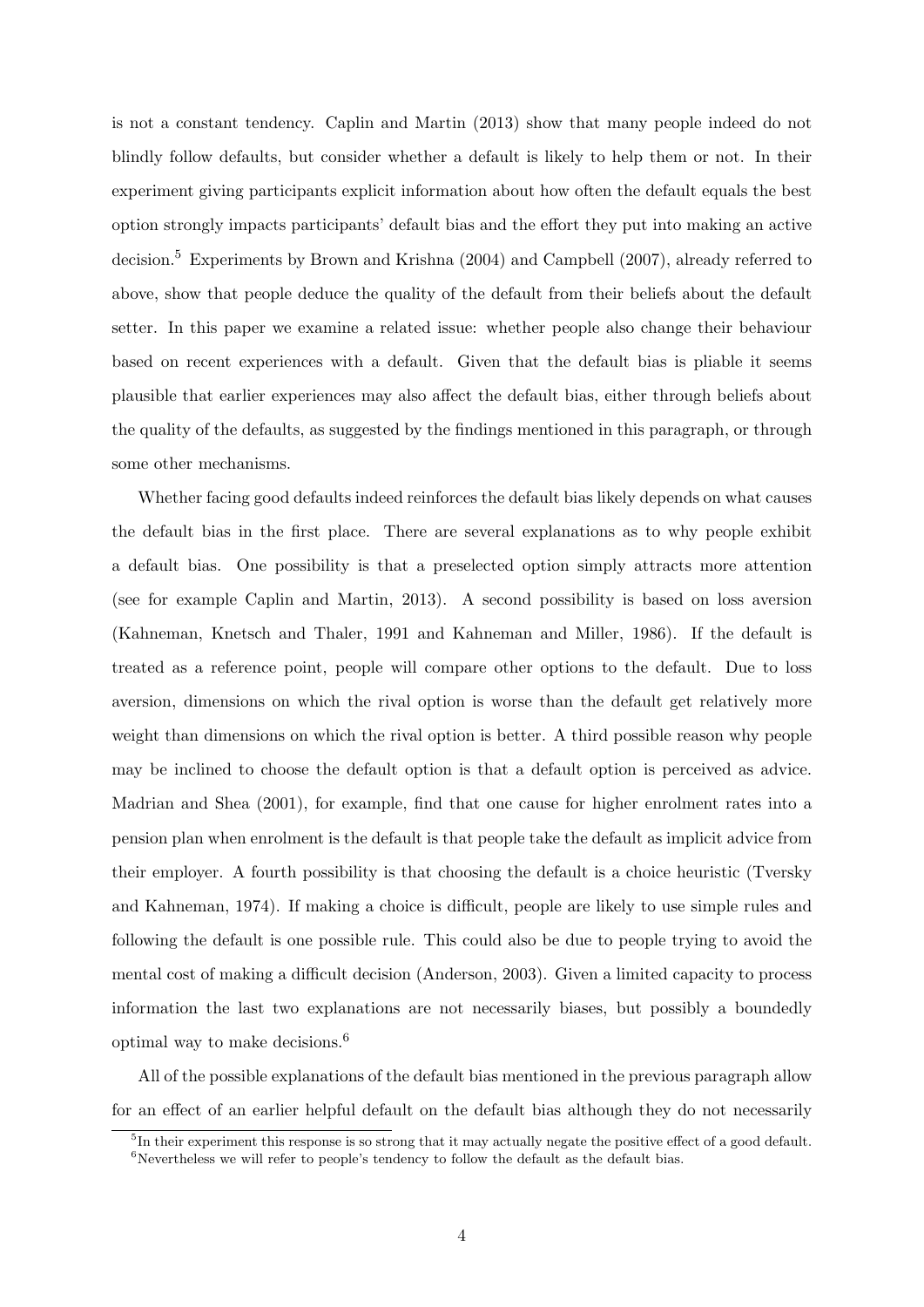is not a constant tendency. Caplin and Martin (2013) show that many people indeed do not blindly follow defaults, but consider whether a default is likely to help them or not. In their experiment giving participants explicit information about how often the default equals the best option strongly impacts participants' default bias and the effort they put into making an active decision.<sup>5</sup> Experiments by Brown and Krishna (2004) and Campbell (2007), already referred to above, show that people deduce the quality of the default from their beliefs about the default setter. In this paper we examine a related issue: whether people also change their behaviour based on recent experiences with a default. Given that the default bias is pliable it seems plausible that earlier experiences may also affect the default bias, either through beliefs about the quality of the defaults, as suggested by the findings mentioned in this paragraph, or through some other mechanisms.

Whether facing good defaults indeed reinforces the default bias likely depends on what causes the default bias in the first place. There are several explanations as to why people exhibit a default bias. One possibility is that a preselected option simply attracts more attention (see for example Caplin and Martin, 2013). A second possibility is based on loss aversion (Kahneman, Knetsch and Thaler, 1991 and Kahneman and Miller, 1986). If the default is treated as a reference point, people will compare other options to the default. Due to loss aversion, dimensions on which the rival option is worse than the default get relatively more weight than dimensions on which the rival option is better. A third possible reason why people may be inclined to choose the default option is that a default option is perceived as advice. Madrian and Shea (2001), for example, find that one cause for higher enrolment rates into a pension plan when enrolment is the default is that people take the default as implicit advice from their employer. A fourth possibility is that choosing the default is a choice heuristic (Tversky and Kahneman, 1974). If making a choice is difficult, people are likely to use simple rules and following the default is one possible rule. This could also be due to people trying to avoid the mental cost of making a difficult decision (Anderson, 2003). Given a limited capacity to process information the last two explanations are not necessarily biases, but possibly a boundedly optimal way to make decisions.<sup>6</sup>

All of the possible explanations of the default bias mentioned in the previous paragraph allow for an effect of an earlier helpful default on the default bias although they do not necessarily

<sup>&</sup>lt;sup>5</sup>In their experiment this response is so strong that it may actually negate the positive effect of a good default.

 $6$ Nevertheless we will refer to people's tendency to follow the default as the default bias.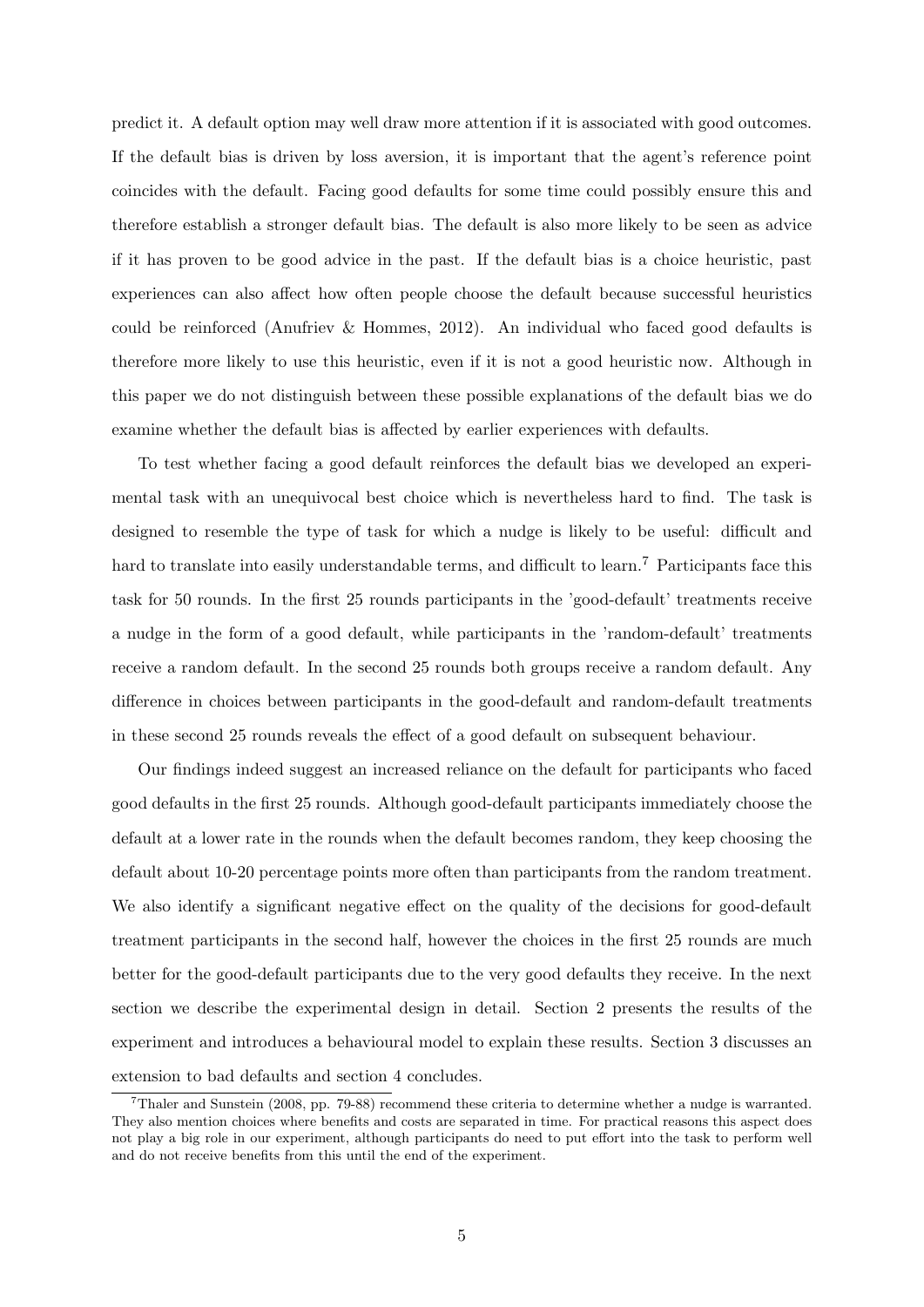predict it. A default option may well draw more attention if it is associated with good outcomes. If the default bias is driven by loss aversion, it is important that the agent's reference point coincides with the default. Facing good defaults for some time could possibly ensure this and therefore establish a stronger default bias. The default is also more likely to be seen as advice if it has proven to be good advice in the past. If the default bias is a choice heuristic, past experiences can also affect how often people choose the default because successful heuristics could be reinforced (Anufriev & Hommes, 2012). An individual who faced good defaults is therefore more likely to use this heuristic, even if it is not a good heuristic now. Although in this paper we do not distinguish between these possible explanations of the default bias we do examine whether the default bias is affected by earlier experiences with defaults.

To test whether facing a good default reinforces the default bias we developed an experimental task with an unequivocal best choice which is nevertheless hard to find. The task is designed to resemble the type of task for which a nudge is likely to be useful: difficult and hard to translate into easily understandable terms, and difficult to learn.<sup>7</sup> Participants face this task for 50 rounds. In the first 25 rounds participants in the 'good-default' treatments receive a nudge in the form of a good default, while participants in the 'random-default' treatments receive a random default. In the second 25 rounds both groups receive a random default. Any difference in choices between participants in the good-default and random-default treatments in these second 25 rounds reveals the effect of a good default on subsequent behaviour.

Our findings indeed suggest an increased reliance on the default for participants who faced good defaults in the first 25 rounds. Although good-default participants immediately choose the default at a lower rate in the rounds when the default becomes random, they keep choosing the default about 10-20 percentage points more often than participants from the random treatment. We also identify a significant negative effect on the quality of the decisions for good-default treatment participants in the second half, however the choices in the first 25 rounds are much better for the good-default participants due to the very good defaults they receive. In the next section we describe the experimental design in detail. Section 2 presents the results of the experiment and introduces a behavioural model to explain these results. Section 3 discusses an extension to bad defaults and section 4 concludes.

<sup>7</sup>Thaler and Sunstein (2008, pp. 79-88) recommend these criteria to determine whether a nudge is warranted. They also mention choices where benefits and costs are separated in time. For practical reasons this aspect does not play a big role in our experiment, although participants do need to put effort into the task to perform well and do not receive benefits from this until the end of the experiment.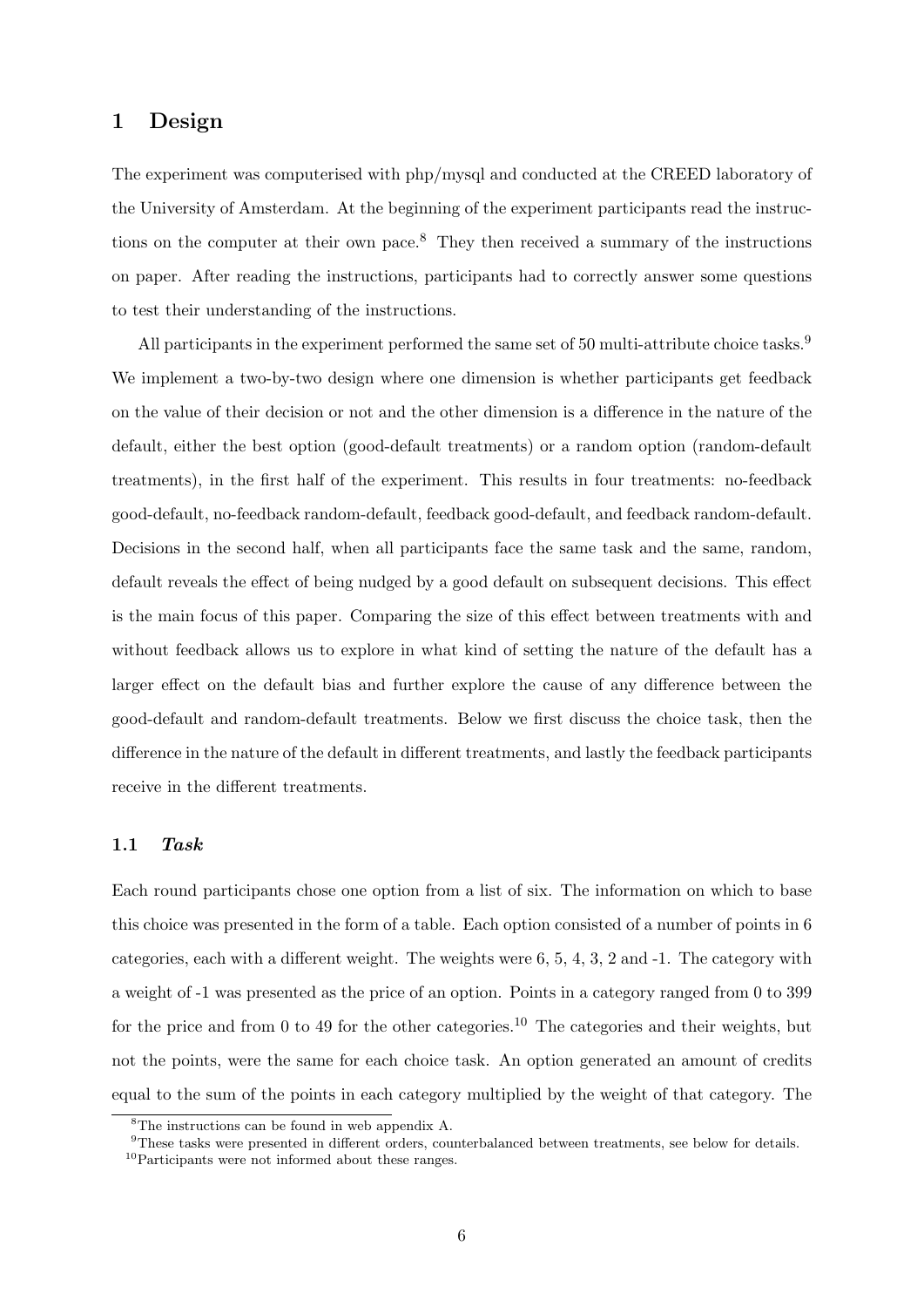## 1 Design

The experiment was computerised with php/mysql and conducted at the CREED laboratory of the University of Amsterdam. At the beginning of the experiment participants read the instructions on the computer at their own pace.<sup>8</sup> They then received a summary of the instructions on paper. After reading the instructions, participants had to correctly answer some questions to test their understanding of the instructions.

All participants in the experiment performed the same set of 50 multi-attribute choice tasks.<sup>9</sup> We implement a two-by-two design where one dimension is whether participants get feedback on the value of their decision or not and the other dimension is a difference in the nature of the default, either the best option (good-default treatments) or a random option (random-default treatments), in the first half of the experiment. This results in four treatments: no-feedback good-default, no-feedback random-default, feedback good-default, and feedback random-default. Decisions in the second half, when all participants face the same task and the same, random, default reveals the effect of being nudged by a good default on subsequent decisions. This effect is the main focus of this paper. Comparing the size of this effect between treatments with and without feedback allows us to explore in what kind of setting the nature of the default has a larger effect on the default bias and further explore the cause of any difference between the good-default and random-default treatments. Below we first discuss the choice task, then the difference in the nature of the default in different treatments, and lastly the feedback participants receive in the different treatments.

## 1.1 Task

Each round participants chose one option from a list of six. The information on which to base this choice was presented in the form of a table. Each option consisted of a number of points in 6 categories, each with a different weight. The weights were 6, 5, 4, 3, 2 and -1. The category with a weight of -1 was presented as the price of an option. Points in a category ranged from 0 to 399 for the price and from 0 to 49 for the other categories.<sup>10</sup> The categories and their weights, but not the points, were the same for each choice task. An option generated an amount of credits equal to the sum of the points in each category multiplied by the weight of that category. The

<sup>8</sup>The instructions can be found in web appendix A.

<sup>&</sup>lt;sup>9</sup>These tasks were presented in different orders, counterbalanced between treatments, see below for details.

 $10$ Participants were not informed about these ranges.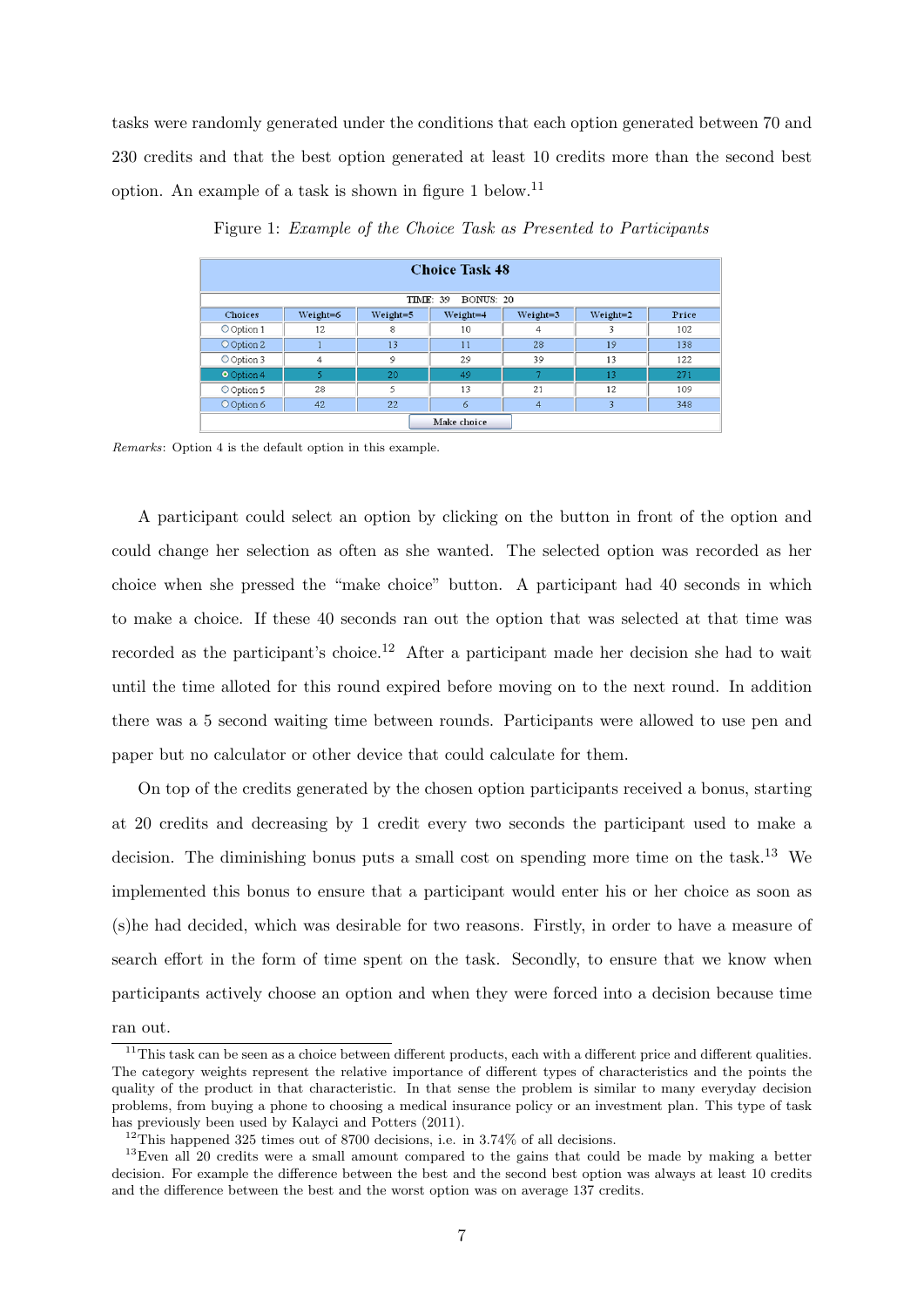tasks were randomly generated under the conditions that each option generated between 70 and 230 credits and that the best option generated at least 10 credits more than the second best option. An example of a task is shown in figure 1 below.<sup>11</sup>

| <b>Choice Task 48</b> |          |                 |           |                |            |       |
|-----------------------|----------|-----------------|-----------|----------------|------------|-------|
|                       |          | <b>TIME: 39</b> | BONUS: 20 |                |            |       |
| Choices               | Weight=6 | Weight=5        | Weight=4  | Weight=3       | $Weight=2$ | Price |
| O Option 1            | 12       | 8               | 10        | 4              | 3          | 102   |
| O Option 2            |          | 13              | 11        | 28             | 19         | 138   |
| O Option 3            | 4        | 9               | 29        | 39             | 13         | 122   |
| O Option 4            | 5        | 20              | 49        |                | 13         | 271   |
| O Option 5            | 28       | 5               | 13        | 21             | 12         | 109   |
| O Option 6            | 42       | 22              | 6         | $\overline{4}$ | 3          | 348   |
| Make choice           |          |                 |           |                |            |       |

Figure 1: Example of the Choice Task as Presented to Participants

Remarks: Option 4 is the default option in this example.

A participant could select an option by clicking on the button in front of the option and could change her selection as often as she wanted. The selected option was recorded as her choice when she pressed the "make choice" button. A participant had 40 seconds in which to make a choice. If these 40 seconds ran out the option that was selected at that time was recorded as the participant's choice.<sup>12</sup> After a participant made her decision she had to wait until the time alloted for this round expired before moving on to the next round. In addition there was a 5 second waiting time between rounds. Participants were allowed to use pen and paper but no calculator or other device that could calculate for them.

On top of the credits generated by the chosen option participants received a bonus, starting at 20 credits and decreasing by 1 credit every two seconds the participant used to make a decision. The diminishing bonus puts a small cost on spending more time on the task.<sup>13</sup> We implemented this bonus to ensure that a participant would enter his or her choice as soon as (s)he had decided, which was desirable for two reasons. Firstly, in order to have a measure of search effort in the form of time spent on the task. Secondly, to ensure that we know when participants actively choose an option and when they were forced into a decision because time ran out.

 $11$ This task can be seen as a choice between different products, each with a different price and different qualities. The category weights represent the relative importance of different types of characteristics and the points the quality of the product in that characteristic. In that sense the problem is similar to many everyday decision problems, from buying a phone to choosing a medical insurance policy or an investment plan. This type of task has previously been used by Kalayci and Potters (2011).

 $12$ This happened 325 times out of 8700 decisions, i.e. in 3.74% of all decisions.

<sup>&</sup>lt;sup>13</sup>Even all 20 credits were a small amount compared to the gains that could be made by making a better decision. For example the difference between the best and the second best option was always at least 10 credits and the difference between the best and the worst option was on average 137 credits.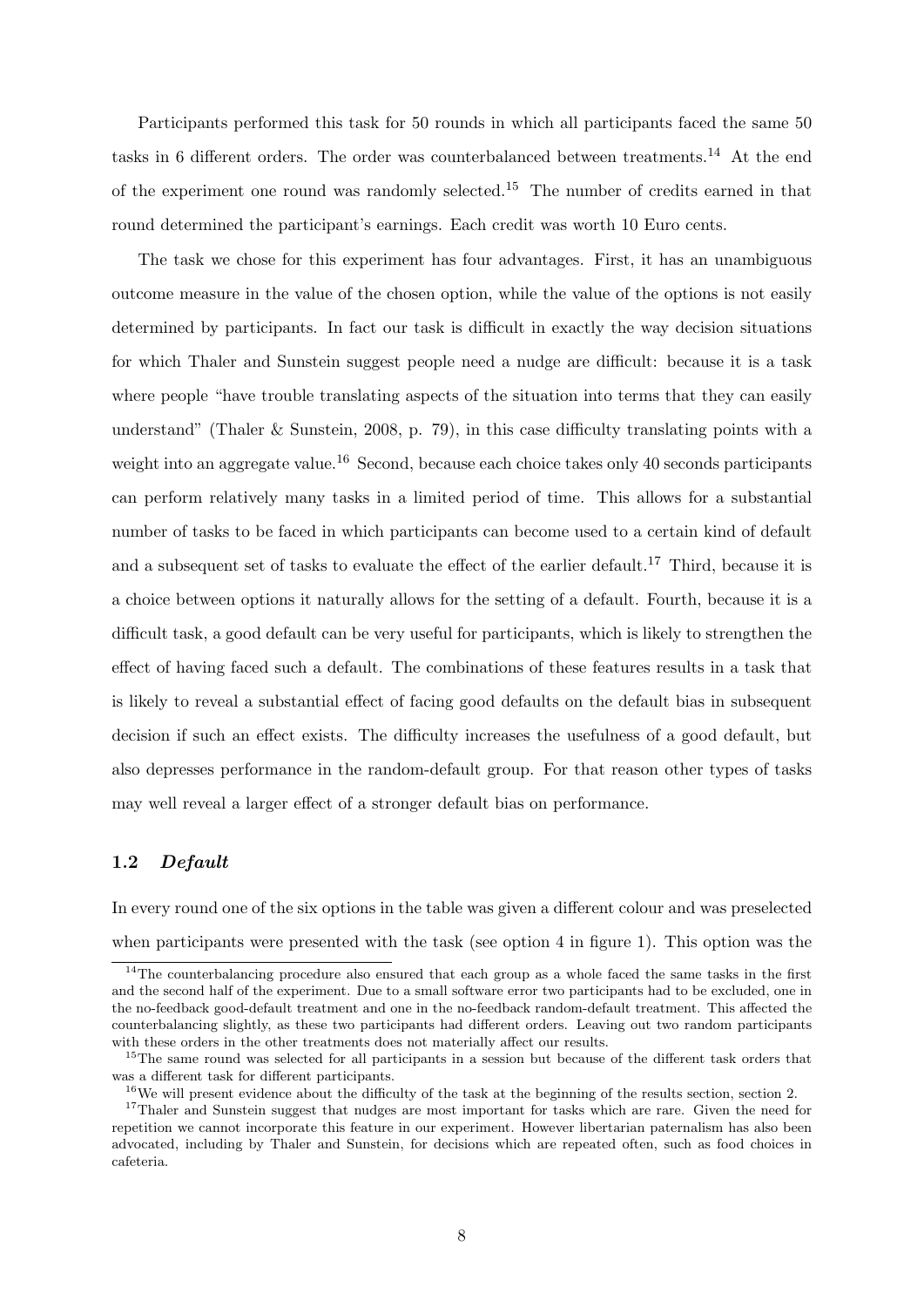Participants performed this task for 50 rounds in which all participants faced the same 50 tasks in 6 different orders. The order was counterbalanced between treatments.<sup>14</sup> At the end of the experiment one round was randomly selected.<sup>15</sup> The number of credits earned in that round determined the participant's earnings. Each credit was worth 10 Euro cents.

The task we chose for this experiment has four advantages. First, it has an unambiguous outcome measure in the value of the chosen option, while the value of the options is not easily determined by participants. In fact our task is difficult in exactly the way decision situations for which Thaler and Sunstein suggest people need a nudge are difficult: because it is a task where people "have trouble translating aspects of the situation into terms that they can easily understand" (Thaler & Sunstein, 2008, p. 79), in this case difficulty translating points with a weight into an aggregate value.<sup>16</sup> Second, because each choice takes only 40 seconds participants can perform relatively many tasks in a limited period of time. This allows for a substantial number of tasks to be faced in which participants can become used to a certain kind of default and a subsequent set of tasks to evaluate the effect of the earlier default.<sup>17</sup> Third, because it is a choice between options it naturally allows for the setting of a default. Fourth, because it is a difficult task, a good default can be very useful for participants, which is likely to strengthen the effect of having faced such a default. The combinations of these features results in a task that is likely to reveal a substantial effect of facing good defaults on the default bias in subsequent decision if such an effect exists. The difficulty increases the usefulness of a good default, but also depresses performance in the random-default group. For that reason other types of tasks may well reveal a larger effect of a stronger default bias on performance.

## 1.2 Default

In every round one of the six options in the table was given a different colour and was preselected when participants were presented with the task (see option 4 in figure 1). This option was the

<sup>&</sup>lt;sup>14</sup>The counterbalancing procedure also ensured that each group as a whole faced the same tasks in the first and the second half of the experiment. Due to a small software error two participants had to be excluded, one in the no-feedback good-default treatment and one in the no-feedback random-default treatment. This affected the counterbalancing slightly, as these two participants had different orders. Leaving out two random participants with these orders in the other treatments does not materially affect our results.

<sup>&</sup>lt;sup>15</sup>The same round was selected for all participants in a session but because of the different task orders that was a different task for different participants.

 $16$ We will present evidence about the difficulty of the task at the beginning of the results section, section 2.

<sup>&</sup>lt;sup>17</sup>Thaler and Sunstein suggest that nudges are most important for tasks which are rare. Given the need for repetition we cannot incorporate this feature in our experiment. However libertarian paternalism has also been advocated, including by Thaler and Sunstein, for decisions which are repeated often, such as food choices in cafeteria.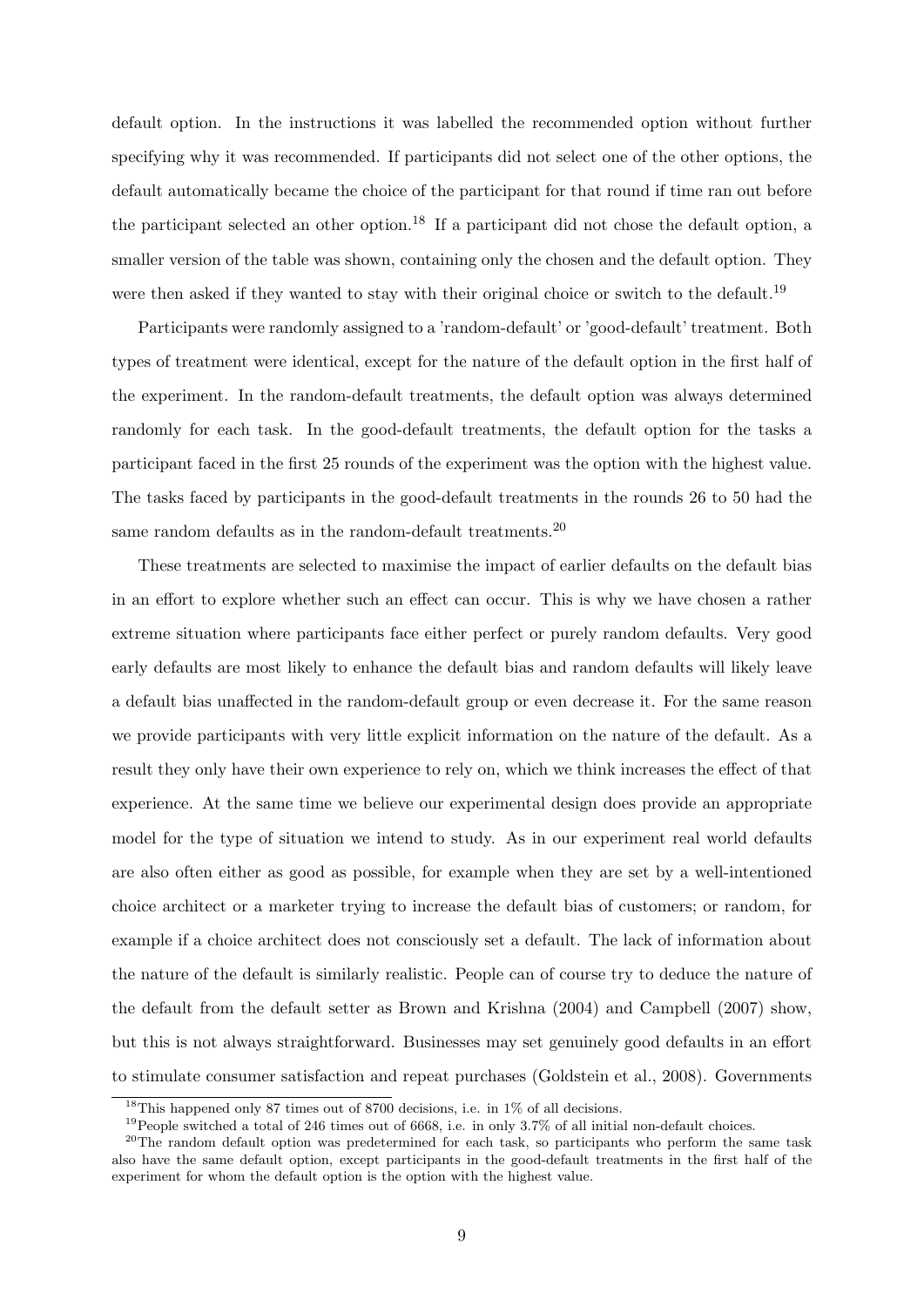default option. In the instructions it was labelled the recommended option without further specifying why it was recommended. If participants did not select one of the other options, the default automatically became the choice of the participant for that round if time ran out before the participant selected an other option.<sup>18</sup> If a participant did not chose the default option, a smaller version of the table was shown, containing only the chosen and the default option. They were then asked if they wanted to stay with their original choice or switch to the default.<sup>19</sup>

Participants were randomly assigned to a 'random-default' or 'good-default' treatment. Both types of treatment were identical, except for the nature of the default option in the first half of the experiment. In the random-default treatments, the default option was always determined randomly for each task. In the good-default treatments, the default option for the tasks a participant faced in the first 25 rounds of the experiment was the option with the highest value. The tasks faced by participants in the good-default treatments in the rounds 26 to 50 had the same random defaults as in the random-default treatments.<sup>20</sup>

These treatments are selected to maximise the impact of earlier defaults on the default bias in an effort to explore whether such an effect can occur. This is why we have chosen a rather extreme situation where participants face either perfect or purely random defaults. Very good early defaults are most likely to enhance the default bias and random defaults will likely leave a default bias unaffected in the random-default group or even decrease it. For the same reason we provide participants with very little explicit information on the nature of the default. As a result they only have their own experience to rely on, which we think increases the effect of that experience. At the same time we believe our experimental design does provide an appropriate model for the type of situation we intend to study. As in our experiment real world defaults are also often either as good as possible, for example when they are set by a well-intentioned choice architect or a marketer trying to increase the default bias of customers; or random, for example if a choice architect does not consciously set a default. The lack of information about the nature of the default is similarly realistic. People can of course try to deduce the nature of the default from the default setter as Brown and Krishna (2004) and Campbell (2007) show, but this is not always straightforward. Businesses may set genuinely good defaults in an effort to stimulate consumer satisfaction and repeat purchases (Goldstein et al., 2008). Governments

<sup>18</sup>This happened only 87 times out of 8700 decisions, i.e. in 1% of all decisions.

<sup>&</sup>lt;sup>19</sup>People switched a total of 246 times out of 6668, i.e. in only 3.7% of all initial non-default choices.

<sup>&</sup>lt;sup>20</sup>The random default option was predetermined for each task, so participants who perform the same task also have the same default option, except participants in the good-default treatments in the first half of the experiment for whom the default option is the option with the highest value.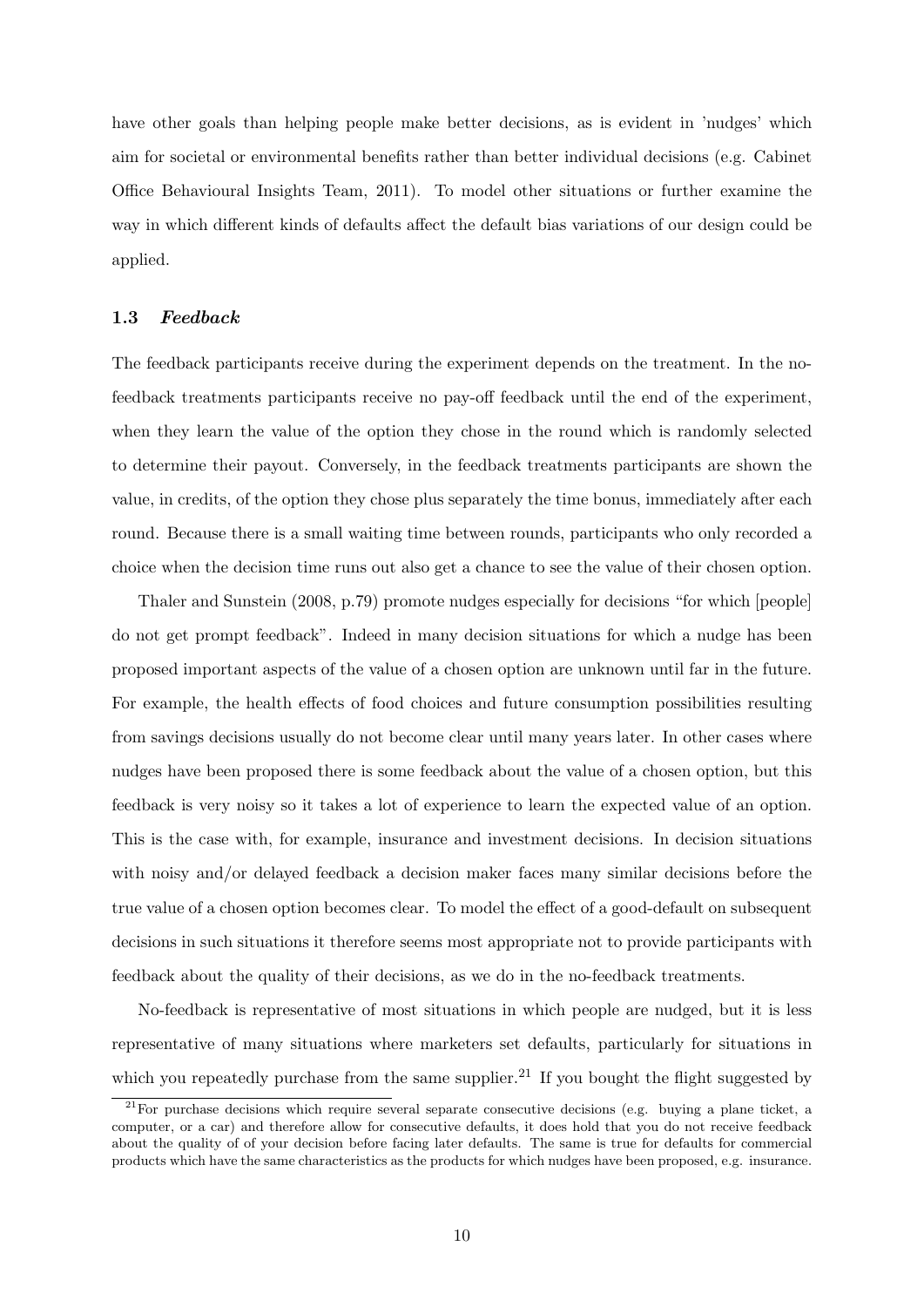have other goals than helping people make better decisions, as is evident in 'nudges' which aim for societal or environmental benefits rather than better individual decisions (e.g. Cabinet Office Behavioural Insights Team, 2011). To model other situations or further examine the way in which different kinds of defaults affect the default bias variations of our design could be applied.

## 1.3 Feedback

The feedback participants receive during the experiment depends on the treatment. In the nofeedback treatments participants receive no pay-off feedback until the end of the experiment, when they learn the value of the option they chose in the round which is randomly selected to determine their payout. Conversely, in the feedback treatments participants are shown the value, in credits, of the option they chose plus separately the time bonus, immediately after each round. Because there is a small waiting time between rounds, participants who only recorded a choice when the decision time runs out also get a chance to see the value of their chosen option.

Thaler and Sunstein (2008, p.79) promote nudges especially for decisions "for which [people] do not get prompt feedback". Indeed in many decision situations for which a nudge has been proposed important aspects of the value of a chosen option are unknown until far in the future. For example, the health effects of food choices and future consumption possibilities resulting from savings decisions usually do not become clear until many years later. In other cases where nudges have been proposed there is some feedback about the value of a chosen option, but this feedback is very noisy so it takes a lot of experience to learn the expected value of an option. This is the case with, for example, insurance and investment decisions. In decision situations with noisy and/or delayed feedback a decision maker faces many similar decisions before the true value of a chosen option becomes clear. To model the effect of a good-default on subsequent decisions in such situations it therefore seems most appropriate not to provide participants with feedback about the quality of their decisions, as we do in the no-feedback treatments.

No-feedback is representative of most situations in which people are nudged, but it is less representative of many situations where marketers set defaults, particularly for situations in which you repeatedly purchase from the same supplier.<sup>21</sup> If you bought the flight suggested by

 $21$ For purchase decisions which require several separate consecutive decisions (e.g. buying a plane ticket, a computer, or a car) and therefore allow for consecutive defaults, it does hold that you do not receive feedback about the quality of of your decision before facing later defaults. The same is true for defaults for commercial products which have the same characteristics as the products for which nudges have been proposed, e.g. insurance.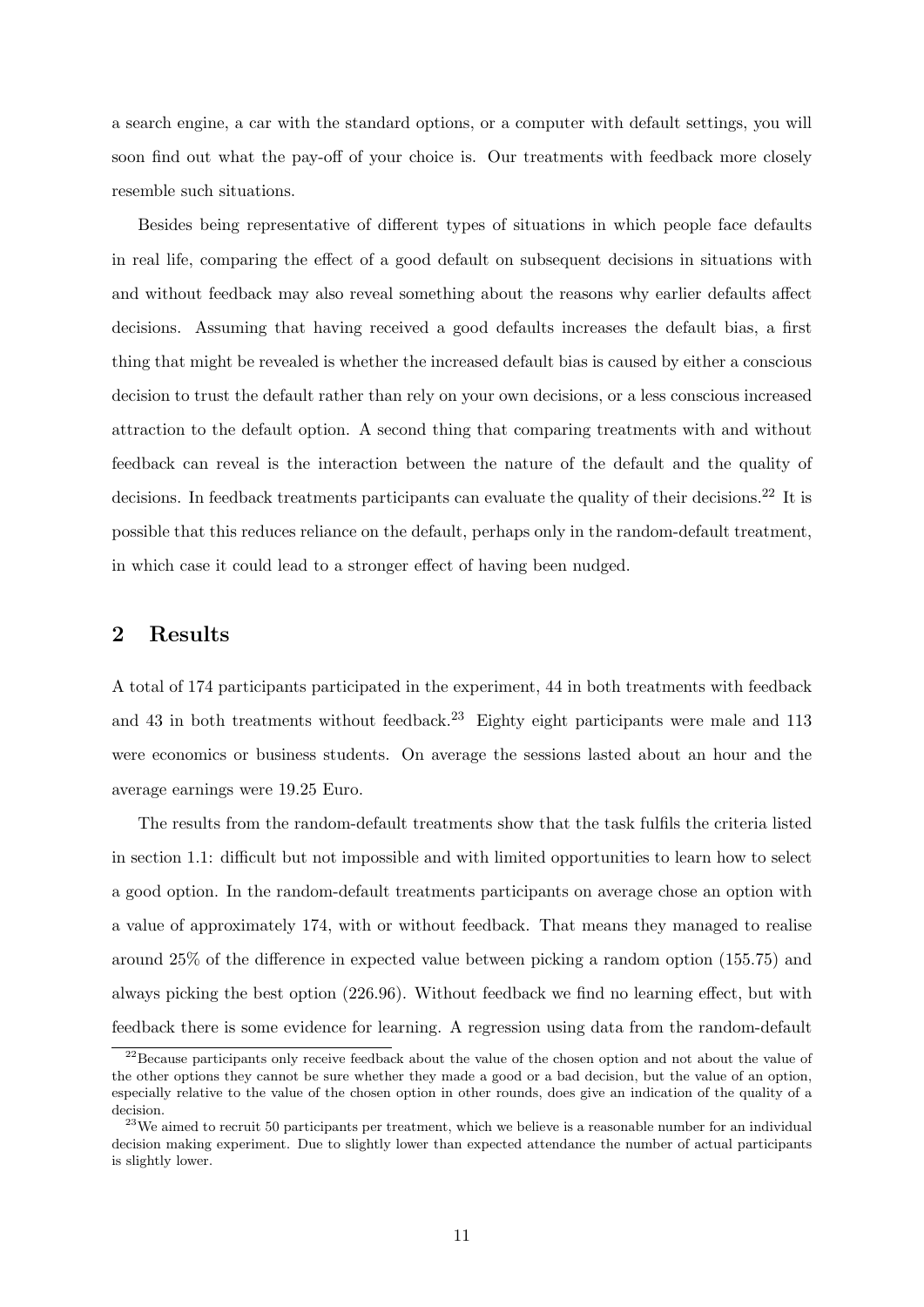a search engine, a car with the standard options, or a computer with default settings, you will soon find out what the pay-off of your choice is. Our treatments with feedback more closely resemble such situations.

Besides being representative of different types of situations in which people face defaults in real life, comparing the effect of a good default on subsequent decisions in situations with and without feedback may also reveal something about the reasons why earlier defaults affect decisions. Assuming that having received a good defaults increases the default bias, a first thing that might be revealed is whether the increased default bias is caused by either a conscious decision to trust the default rather than rely on your own decisions, or a less conscious increased attraction to the default option. A second thing that comparing treatments with and without feedback can reveal is the interaction between the nature of the default and the quality of decisions. In feedback treatments participants can evaluate the quality of their decisions.<sup>22</sup> It is possible that this reduces reliance on the default, perhaps only in the random-default treatment, in which case it could lead to a stronger effect of having been nudged.

## 2 Results

A total of 174 participants participated in the experiment, 44 in both treatments with feedback and 43 in both treatments without feedback.<sup>23</sup> Eighty eight participants were male and 113 were economics or business students. On average the sessions lasted about an hour and the average earnings were 19.25 Euro.

The results from the random-default treatments show that the task fulfils the criteria listed in section 1.1: difficult but not impossible and with limited opportunities to learn how to select a good option. In the random-default treatments participants on average chose an option with a value of approximately 174, with or without feedback. That means they managed to realise around 25% of the difference in expected value between picking a random option (155.75) and always picking the best option (226.96). Without feedback we find no learning effect, but with feedback there is some evidence for learning. A regression using data from the random-default

 $^{22}$ Because participants only receive feedback about the value of the chosen option and not about the value of the other options they cannot be sure whether they made a good or a bad decision, but the value of an option, especially relative to the value of the chosen option in other rounds, does give an indication of the quality of a decision.

 $^{23}$ We aimed to recruit 50 participants per treatment, which we believe is a reasonable number for an individual decision making experiment. Due to slightly lower than expected attendance the number of actual participants is slightly lower.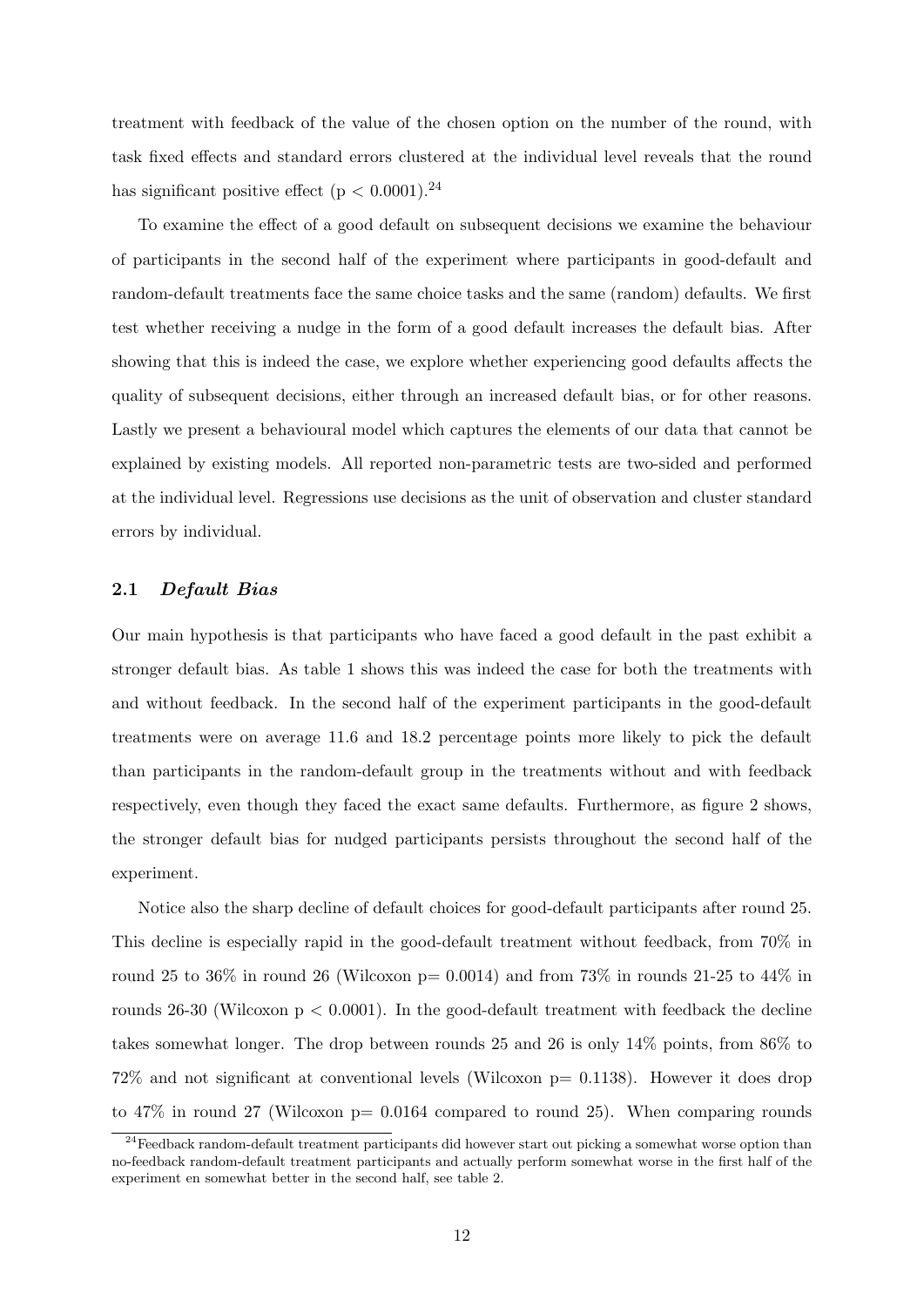treatment with feedback of the value of the chosen option on the number of the round, with task fixed effects and standard errors clustered at the individual level reveals that the round has significant positive effect ( $p < 0.0001$ ).<sup>24</sup>

To examine the effect of a good default on subsequent decisions we examine the behaviour of participants in the second half of the experiment where participants in good-default and random-default treatments face the same choice tasks and the same (random) defaults. We first test whether receiving a nudge in the form of a good default increases the default bias. After showing that this is indeed the case, we explore whether experiencing good defaults affects the quality of subsequent decisions, either through an increased default bias, or for other reasons. Lastly we present a behavioural model which captures the elements of our data that cannot be explained by existing models. All reported non-parametric tests are two-sided and performed at the individual level. Regressions use decisions as the unit of observation and cluster standard errors by individual.

## 2.1 Default Bias

Our main hypothesis is that participants who have faced a good default in the past exhibit a stronger default bias. As table 1 shows this was indeed the case for both the treatments with and without feedback. In the second half of the experiment participants in the good-default treatments were on average 11.6 and 18.2 percentage points more likely to pick the default than participants in the random-default group in the treatments without and with feedback respectively, even though they faced the exact same defaults. Furthermore, as figure 2 shows, the stronger default bias for nudged participants persists throughout the second half of the experiment.

Notice also the sharp decline of default choices for good-default participants after round 25. This decline is especially rapid in the good-default treatment without feedback, from 70% in round 25 to 36% in round 26 (Wilcoxon p= 0.0014) and from 73% in rounds 21-25 to 44% in rounds 26-30 (Wilcoxon  $p < 0.0001$ ). In the good-default treatment with feedback the decline takes somewhat longer. The drop between rounds 25 and 26 is only 14% points, from 86% to 72% and not significant at conventional levels (Wilcoxon p= 0.1138). However it does drop to  $47\%$  in round  $27$  (Wilcoxon p= 0.0164 compared to round 25). When comparing rounds

 $24$ Feedback random-default treatment participants did however start out picking a somewhat worse option than no-feedback random-default treatment participants and actually perform somewhat worse in the first half of the experiment en somewhat better in the second half, see table 2.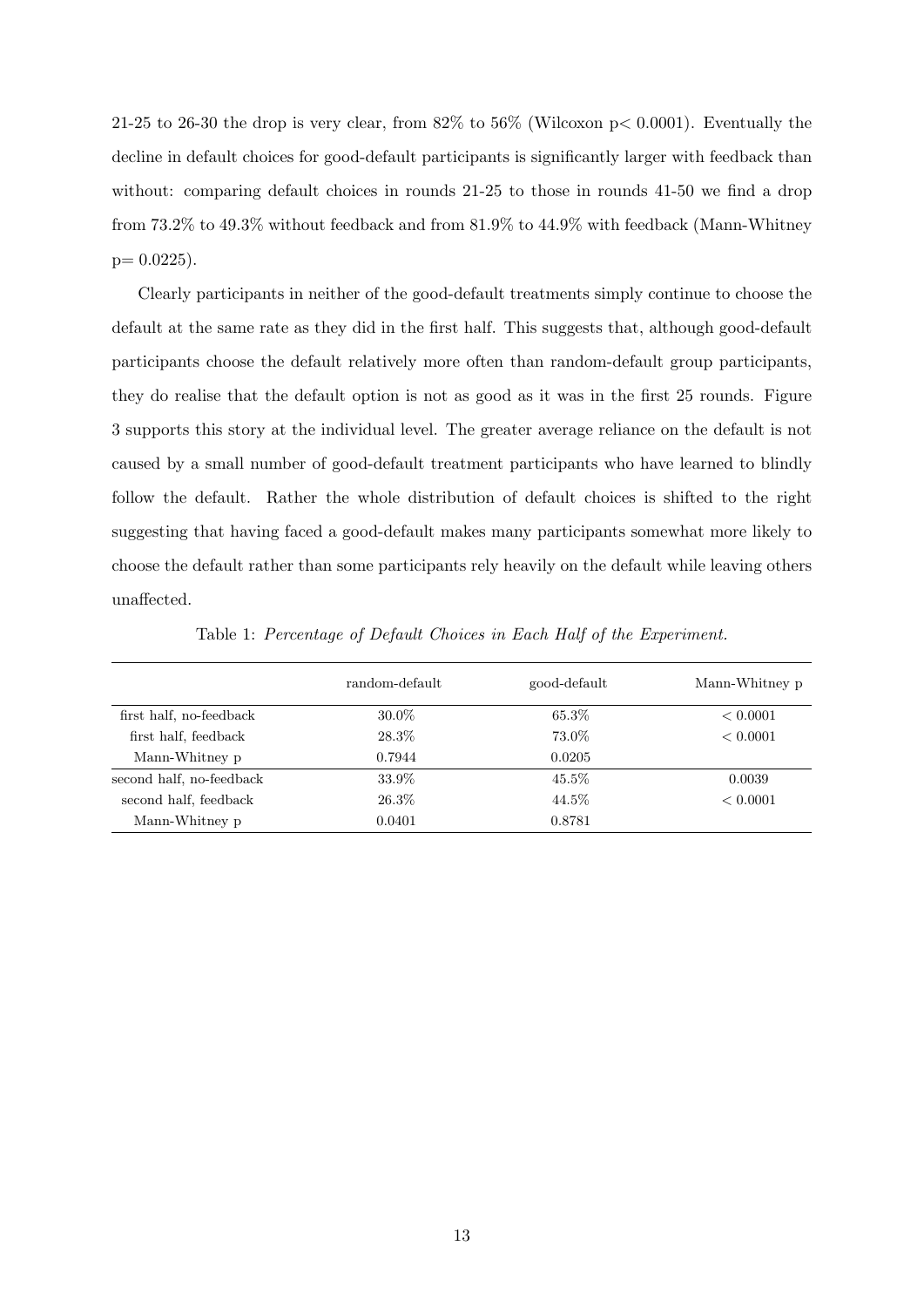21-25 to 26-30 the drop is very clear, from  $82\%$  to  $56\%$  (Wilcoxon p $< 0.0001$ ). Eventually the decline in default choices for good-default participants is significantly larger with feedback than without: comparing default choices in rounds 21-25 to those in rounds 41-50 we find a drop from 73.2% to 49.3% without feedback and from 81.9% to 44.9% with feedback (Mann-Whitney  $p= 0.0225$ ).

Clearly participants in neither of the good-default treatments simply continue to choose the default at the same rate as they did in the first half. This suggests that, although good-default participants choose the default relatively more often than random-default group participants, they do realise that the default option is not as good as it was in the first 25 rounds. Figure 3 supports this story at the individual level. The greater average reliance on the default is not caused by a small number of good-default treatment participants who have learned to blindly follow the default. Rather the whole distribution of default choices is shifted to the right suggesting that having faced a good-default makes many participants somewhat more likely to choose the default rather than some participants rely heavily on the default while leaving others unaffected.

|                          | random-default | good-default | Mann-Whitney p |
|--------------------------|----------------|--------------|----------------|
| first half, no-feedback  | $30.0\%$       | 65.3%        | < 0.0001       |
| first half, feedback     | 28.3%          | 73.0%        | < 0.0001       |
| Mann-Whitney p           | 0.7944         | 0.0205       |                |
| second half, no-feedback | 33.9%          | 45.5%        | 0.0039         |
| second half, feedback    | 26.3%          | 44.5%        | < 0.0001       |
| Mann-Whitney p           | 0.0401         | 0.8781       |                |

Table 1: Percentage of Default Choices in Each Half of the Experiment.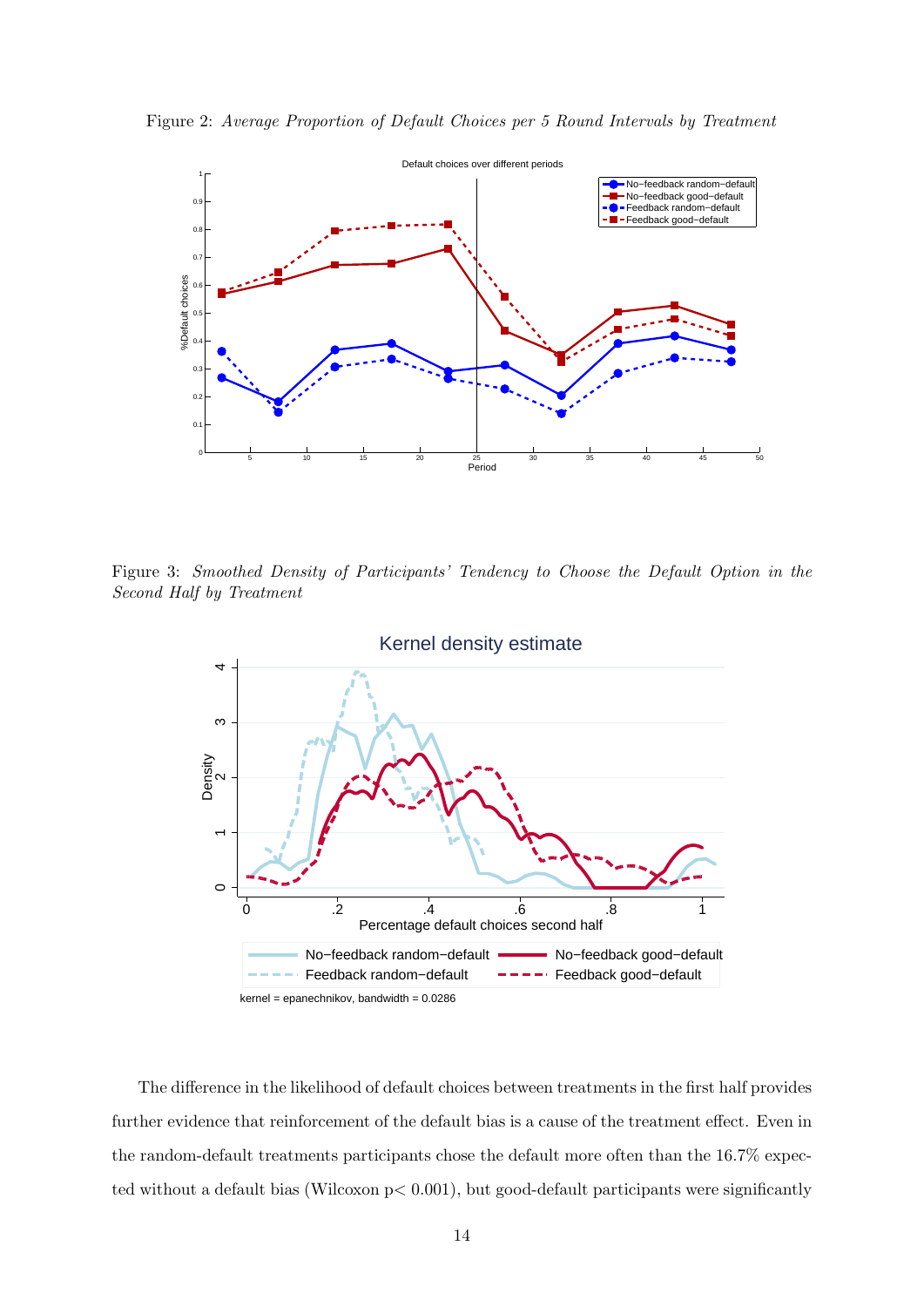Figure 2: Average Proportion of Default Choices per 5 Round Intervals by Treatment



Figure 3: Smoothed Density of Participants' Tendency to Choose the Default Option in the Second Half by Treatment



The difference in the likelihood of default choices between treatments in the first half provides further evidence that reinforcement of the default bias is a cause of the treatment effect. Even in the random-default treatments participants chose the default more often than the 16.7% expected without a default bias (Wilcoxon p< 0.001), but good-default participants were significantly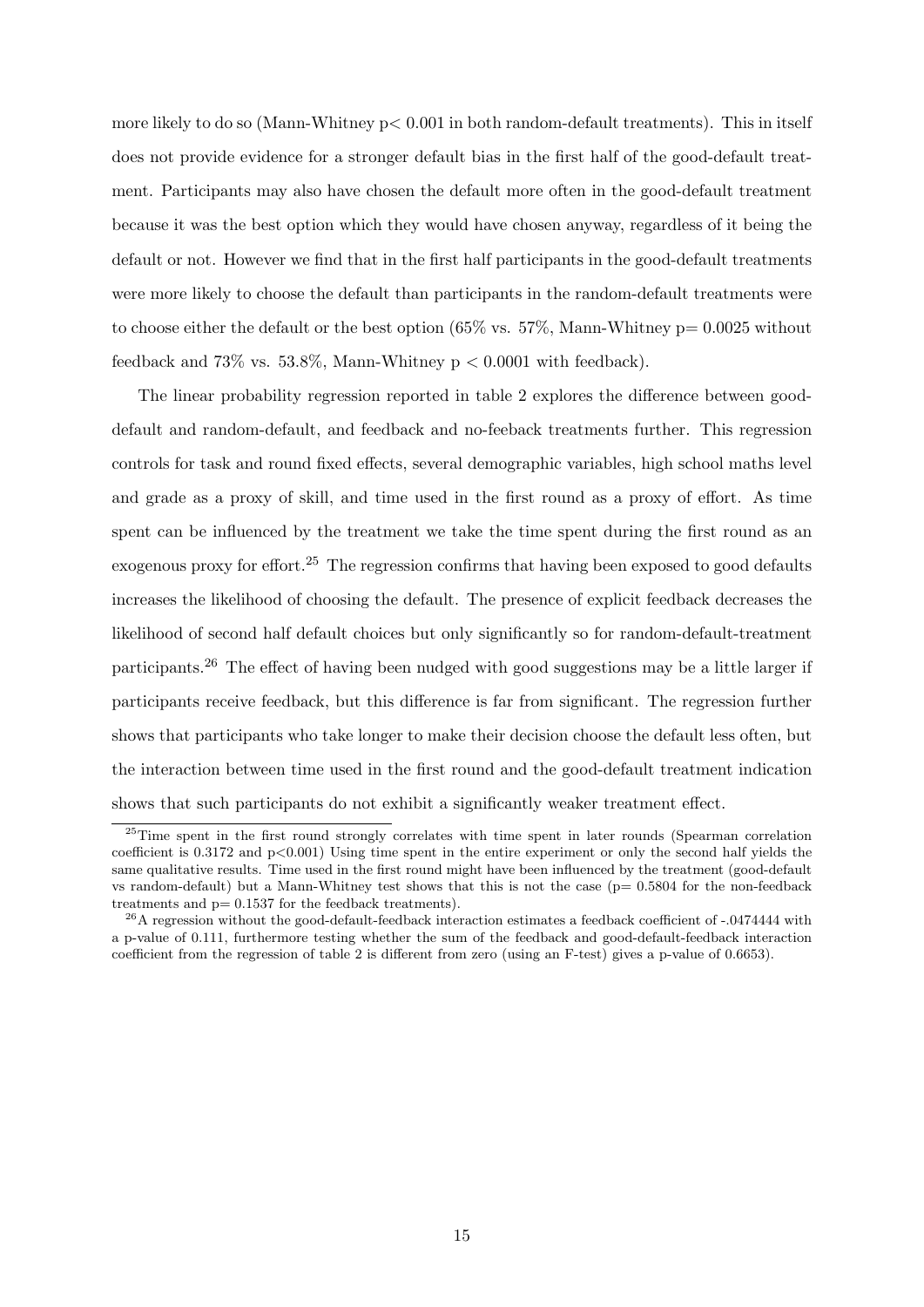more likely to do so (Mann-Whitney  $p < 0.001$  in both random-default treatments). This in itself does not provide evidence for a stronger default bias in the first half of the good-default treatment. Participants may also have chosen the default more often in the good-default treatment because it was the best option which they would have chosen anyway, regardless of it being the default or not. However we find that in the first half participants in the good-default treatments were more likely to choose the default than participants in the random-default treatments were to choose either the default or the best option ( $65\%$  vs.  $57\%$ , Mann-Whitney p= 0.0025 without feedback and 73% vs. 53.8%, Mann-Whitney  $p < 0.0001$  with feedback).

The linear probability regression reported in table 2 explores the difference between gooddefault and random-default, and feedback and no-feeback treatments further. This regression controls for task and round fixed effects, several demographic variables, high school maths level and grade as a proxy of skill, and time used in the first round as a proxy of effort. As time spent can be influenced by the treatment we take the time spent during the first round as an exogenous proxy for effort.<sup>25</sup> The regression confirms that having been exposed to good defaults increases the likelihood of choosing the default. The presence of explicit feedback decreases the likelihood of second half default choices but only significantly so for random-default-treatment participants.<sup>26</sup> The effect of having been nudged with good suggestions may be a little larger if participants receive feedback, but this difference is far from significant. The regression further shows that participants who take longer to make their decision choose the default less often, but the interaction between time used in the first round and the good-default treatment indication shows that such participants do not exhibit a significantly weaker treatment effect.

<sup>&</sup>lt;sup>25</sup>Time spent in the first round strongly correlates with time spent in later rounds (Spearman correlation coefficient is 0.3172 and  $p<0.001$ ) Using time spent in the entire experiment or only the second half yields the same qualitative results. Time used in the first round might have been influenced by the treatment (good-default vs random-default) but a Mann-Whitney test shows that this is not the case (p= 0.5804 for the non-feedback treatments and p= 0.1537 for the feedback treatments).

 $^{26}$ A regression without the good-default-feedback interaction estimates a feedback coefficient of  $-.0474444$  with a p-value of 0.111, furthermore testing whether the sum of the feedback and good-default-feedback interaction coefficient from the regression of table 2 is different from zero (using an F-test) gives a p-value of 0.6653).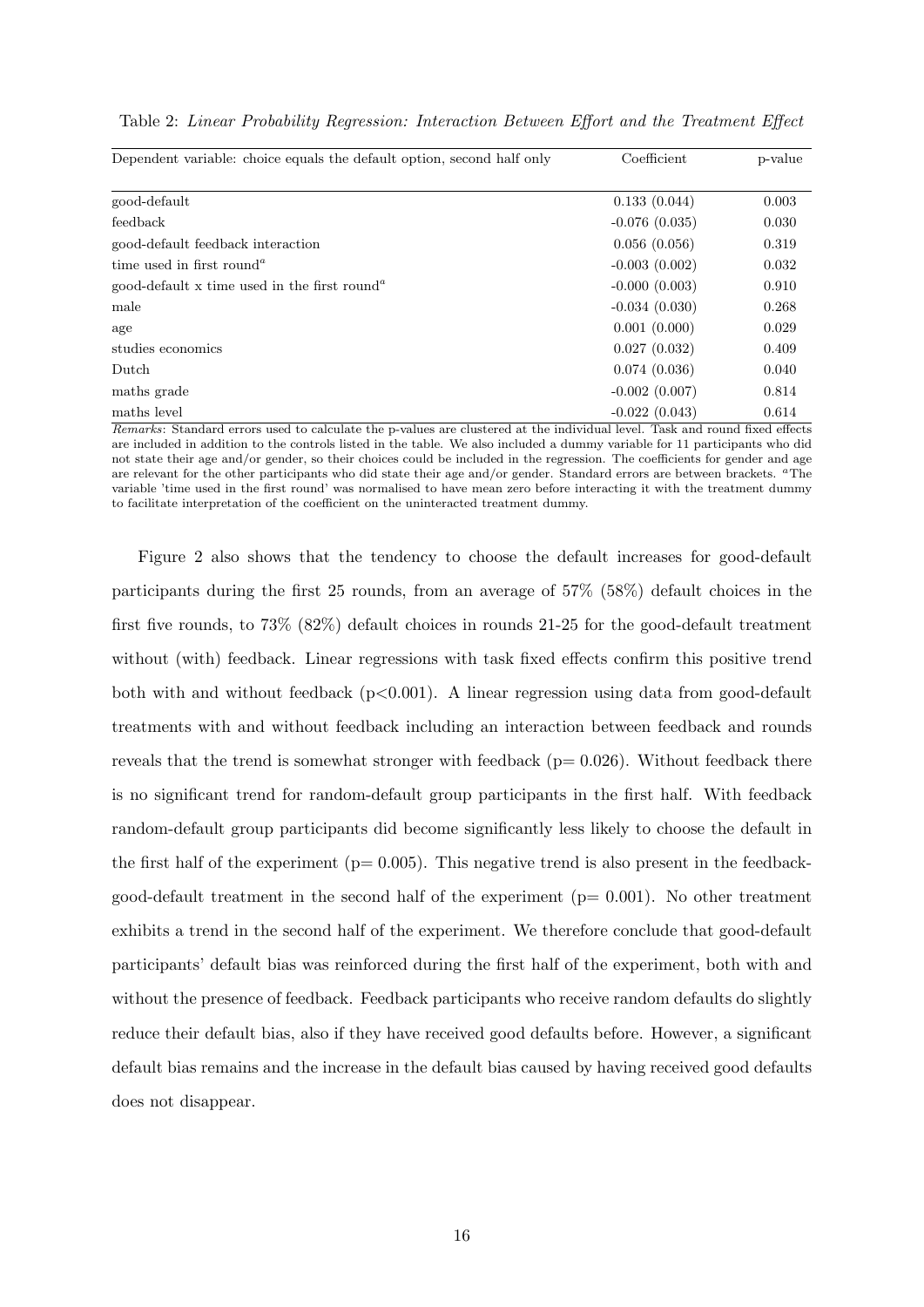| Dependent variable: choice equals the default option, second half only | Coefficient     | p-value |
|------------------------------------------------------------------------|-----------------|---------|
|                                                                        |                 |         |
| good-default                                                           | 0.133(0.044)    | 0.003   |
| feedback                                                               | $-0.076(0.035)$ | 0.030   |
| good-default feedback interaction                                      | 0.056(0.056)    | 0.319   |
| time used in first round <sup><math>a</math></sup>                     | $-0.003(0.002)$ | 0.032   |
| good-default x time used in the first round <sup><math>a</math></sup>  | $-0.000(0.003)$ | 0.910   |
| male                                                                   | $-0.034(0.030)$ | 0.268   |
| age                                                                    | 0.001(0.000)    | 0.029   |
| studies economics                                                      | 0.027(0.032)    | 0.409   |
| Dutch                                                                  | 0.074(0.036)    | 0.040   |
| maths grade                                                            | $-0.002(0.007)$ | 0.814   |
| maths level                                                            | $-0.022(0.043)$ | 0.614   |

Table 2: Linear Probability Regression: Interaction Between Effort and the Treatment Effect

Remarks: Standard errors used to calculate the p-values are clustered at the individual level. Task and round fixed effects are included in addition to the controls listed in the table. We also included a dummy variable for 11 participants who did not state their age and/or gender, so their choices could be included in the regression. The coefficients for gender and age are relevant for the other participants who did state their age and/or gender. Standard errors are between brackets. <sup>a</sup>The variable 'time used in the first round' was normalised to have mean zero before interacting it with the treatment dummy to facilitate interpretation of the coefficient on the uninteracted treatment dummy.

Figure 2 also shows that the tendency to choose the default increases for good-default participants during the first 25 rounds, from an average of 57% (58%) default choices in the first five rounds, to 73% (82%) default choices in rounds 21-25 for the good-default treatment without (with) feedback. Linear regressions with task fixed effects confirm this positive trend both with and without feedback  $(p<0.001)$ . A linear regression using data from good-default treatments with and without feedback including an interaction between feedback and rounds reveals that the trend is somewhat stronger with feedback ( $p= 0.026$ ). Without feedback there is no significant trend for random-default group participants in the first half. With feedback random-default group participants did become significantly less likely to choose the default in the first half of the experiment ( $p= 0.005$ ). This negative trend is also present in the feedbackgood-default treatment in the second half of the experiment  $(p= 0.001)$ . No other treatment exhibits a trend in the second half of the experiment. We therefore conclude that good-default participants' default bias was reinforced during the first half of the experiment, both with and without the presence of feedback. Feedback participants who receive random defaults do slightly reduce their default bias, also if they have received good defaults before. However, a significant default bias remains and the increase in the default bias caused by having received good defaults does not disappear.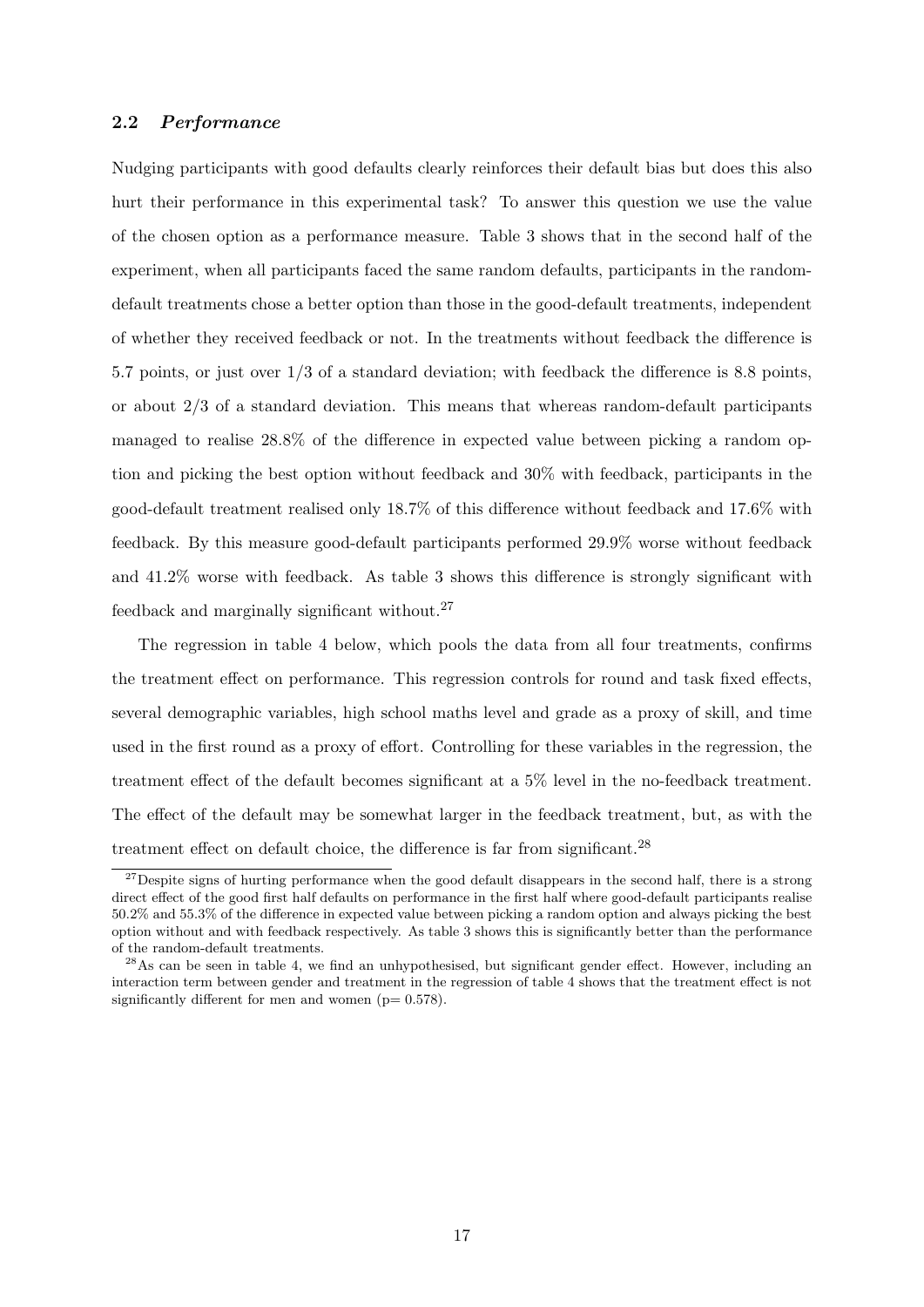## 2.2 Performance

Nudging participants with good defaults clearly reinforces their default bias but does this also hurt their performance in this experimental task? To answer this question we use the value of the chosen option as a performance measure. Table 3 shows that in the second half of the experiment, when all participants faced the same random defaults, participants in the randomdefault treatments chose a better option than those in the good-default treatments, independent of whether they received feedback or not. In the treatments without feedback the difference is 5.7 points, or just over 1/3 of a standard deviation; with feedback the difference is 8.8 points, or about 2/3 of a standard deviation. This means that whereas random-default participants managed to realise 28.8% of the difference in expected value between picking a random option and picking the best option without feedback and 30% with feedback, participants in the good-default treatment realised only 18.7% of this difference without feedback and 17.6% with feedback. By this measure good-default participants performed 29.9% worse without feedback and 41.2% worse with feedback. As table 3 shows this difference is strongly significant with feedback and marginally significant without.<sup>27</sup>

The regression in table 4 below, which pools the data from all four treatments, confirms the treatment effect on performance. This regression controls for round and task fixed effects, several demographic variables, high school maths level and grade as a proxy of skill, and time used in the first round as a proxy of effort. Controlling for these variables in the regression, the treatment effect of the default becomes significant at a 5% level in the no-feedback treatment. The effect of the default may be somewhat larger in the feedback treatment, but, as with the treatment effect on default choice, the difference is far from significant.<sup>28</sup>

 $27$ Despite signs of hurting performance when the good default disappears in the second half, there is a strong direct effect of the good first half defaults on performance in the first half where good-default participants realise 50.2% and 55.3% of the difference in expected value between picking a random option and always picking the best option without and with feedback respectively. As table 3 shows this is significantly better than the performance of the random-default treatments.

<sup>&</sup>lt;sup>28</sup>As can be seen in table 4, we find an unhypothesised, but significant gender effect. However, including an interaction term between gender and treatment in the regression of table 4 shows that the treatment effect is not significantly different for men and women  $(p= 0.578)$ .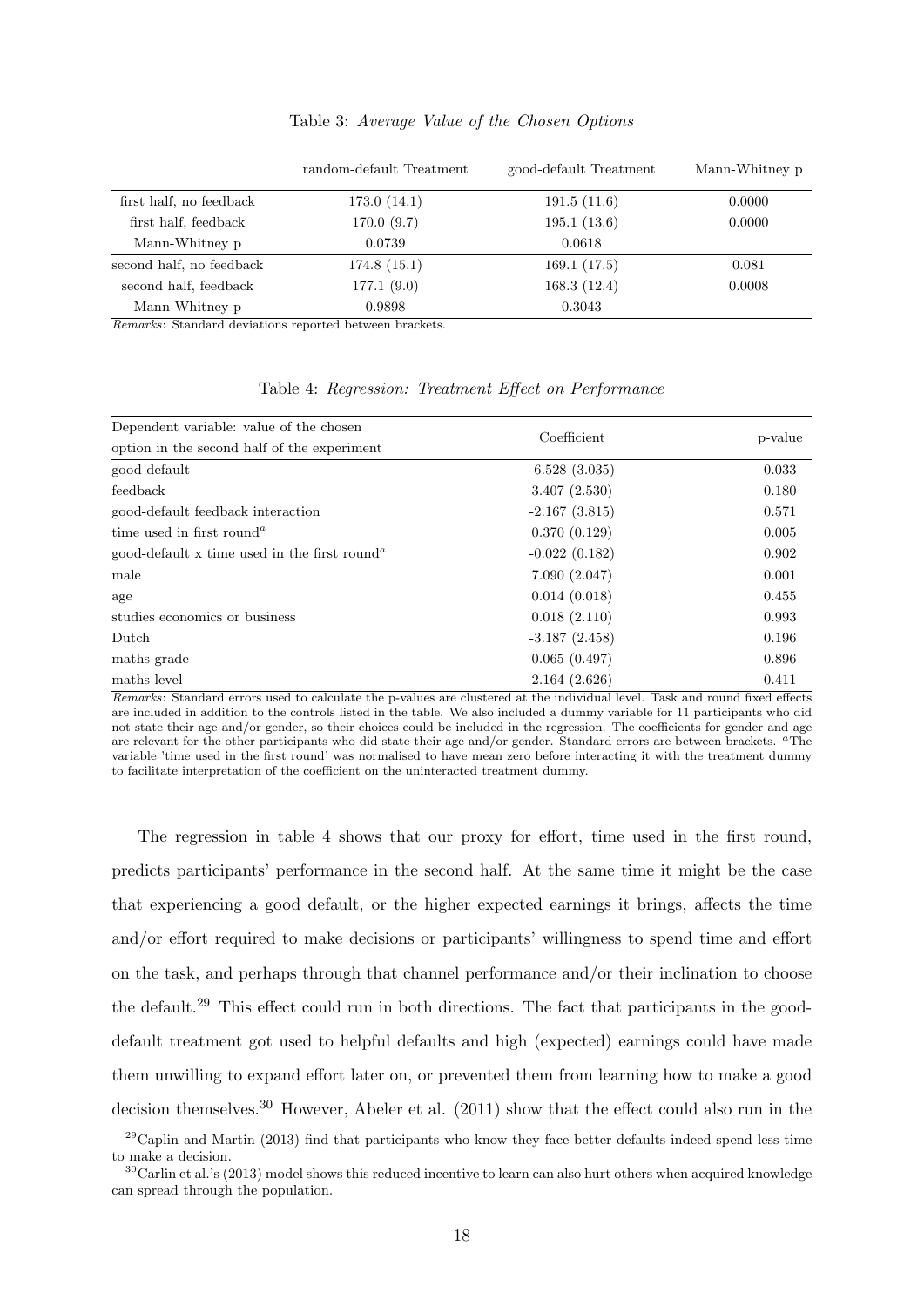|                                                                                                                        | random-default Treatment | good-default Treatment | Mann-Whitney p |
|------------------------------------------------------------------------------------------------------------------------|--------------------------|------------------------|----------------|
| first half, no feedback                                                                                                | 173.0 (14.1)             | 191.5(11.6)            | 0.0000         |
| first half, feedback                                                                                                   | 170.0(9.7)               | 195.1(13.6)            | 0.0000         |
| Mann-Whitney p                                                                                                         | 0.0739                   | 0.0618                 |                |
| second half, no feedback                                                                                               | 174.8(15.1)              | 169.1(17.5)            | 0.081          |
| second half, feedback                                                                                                  | 177.1(9.0)               | 168.3(12.4)            | 0.0008         |
| Mann-Whitney p                                                                                                         | 0.9898                   | 0.3043                 |                |
| <b>Printed Printed Printed Printed Printed Printed Printed Printed Printed Printed Printed Printed Printed Printed</b> |                          |                        |                |

#### Table 3: Average Value of the Chosen Options

Remarks: Standard deviations reported between brackets.

| Dependent variable: value of the chosen<br>option in the second half of the experiment | Coefficient     | p-value |
|----------------------------------------------------------------------------------------|-----------------|---------|
| good-default                                                                           | $-6.528(3.035)$ | 0.033   |
| feedback                                                                               | 3.407(2.530)    | 0.180   |
| good-default feedback interaction                                                      | $-2.167(3.815)$ | 0.571   |
| time used in first round <sup><math>a</math></sup>                                     | 0.370(0.129)    | 0.005   |
| good-default x time used in the first round <sup><math>a</math></sup>                  | $-0.022(0.182)$ | 0.902   |
| male                                                                                   | 7.090(2.047)    | 0.001   |
| age                                                                                    | 0.014(0.018)    | 0.455   |
| studies economics or business                                                          | 0.018(2.110)    | 0.993   |
| Dutch                                                                                  | $-3.187(2.458)$ | 0.196   |
| maths grade                                                                            | 0.065(0.497)    | 0.896   |
| maths level                                                                            | 2.164(2.626)    | 0.411   |

## Table 4: Regression: Treatment Effect on Performance

Remarks: Standard errors used to calculate the p-values are clustered at the individual level. Task and round fixed effects are included in addition to the controls listed in the table. We also included a dummy variable for 11 participants who did not state their age and/or gender, so their choices could be included in the regression. The coefficients for gender and age are relevant for the other participants who did state their age and/or gender. Standard errors are between brackets. <sup>a</sup>The variable 'time used in the first round' was normalised to have mean zero before interacting it with the treatment dummy to facilitate interpretation of the coefficient on the uninteracted treatment dummy.

The regression in table 4 shows that our proxy for effort, time used in the first round, predicts participants' performance in the second half. At the same time it might be the case that experiencing a good default, or the higher expected earnings it brings, affects the time and/or effort required to make decisions or participants' willingness to spend time and effort on the task, and perhaps through that channel performance and/or their inclination to choose the default.<sup>29</sup> This effect could run in both directions. The fact that participants in the gooddefault treatment got used to helpful defaults and high (expected) earnings could have made them unwilling to expand effort later on, or prevented them from learning how to make a good decision themselves.<sup>30</sup> However, Abeler et al. (2011) show that the effect could also run in the

 $29$ Caplin and Martin (2013) find that participants who know they face better defaults indeed spend less time to make a decision.

 $30$ Carlin et al.'s (2013) model shows this reduced incentive to learn can also hurt others when acquired knowledge can spread through the population.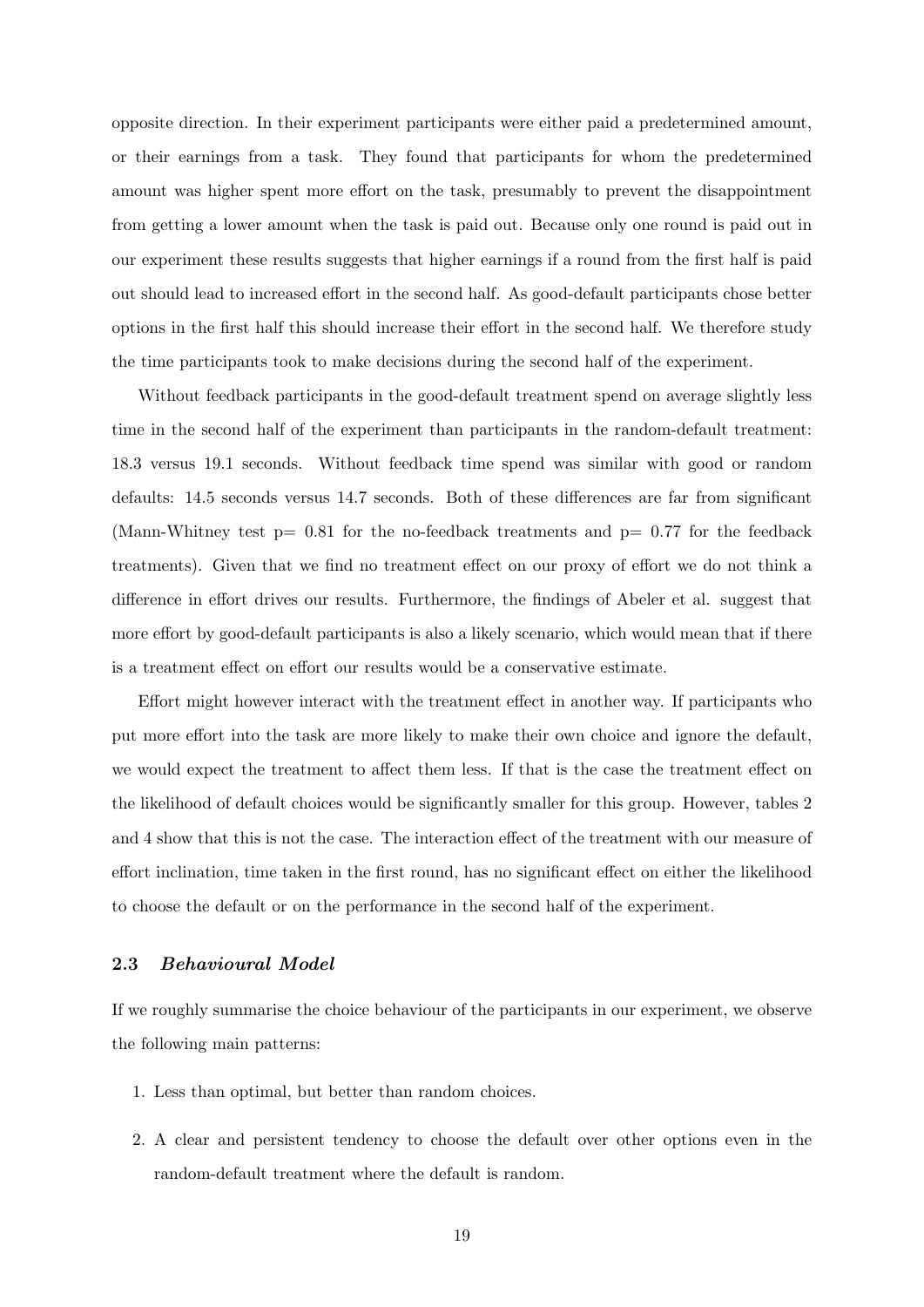opposite direction. In their experiment participants were either paid a predetermined amount, or their earnings from a task. They found that participants for whom the predetermined amount was higher spent more effort on the task, presumably to prevent the disappointment from getting a lower amount when the task is paid out. Because only one round is paid out in our experiment these results suggests that higher earnings if a round from the first half is paid out should lead to increased effort in the second half. As good-default participants chose better options in the first half this should increase their effort in the second half. We therefore study the time participants took to make decisions during the second half of the experiment.

Without feedback participants in the good-default treatment spend on average slightly less time in the second half of the experiment than participants in the random-default treatment: 18.3 versus 19.1 seconds. Without feedback time spend was similar with good or random defaults: 14.5 seconds versus 14.7 seconds. Both of these differences are far from significant (Mann-Whitney test  $p= 0.81$  for the no-feedback treatments and  $p= 0.77$  for the feedback treatments). Given that we find no treatment effect on our proxy of effort we do not think a difference in effort drives our results. Furthermore, the findings of Abeler et al. suggest that more effort by good-default participants is also a likely scenario, which would mean that if there is a treatment effect on effort our results would be a conservative estimate.

Effort might however interact with the treatment effect in another way. If participants who put more effort into the task are more likely to make their own choice and ignore the default, we would expect the treatment to affect them less. If that is the case the treatment effect on the likelihood of default choices would be significantly smaller for this group. However, tables 2 and 4 show that this is not the case. The interaction effect of the treatment with our measure of effort inclination, time taken in the first round, has no significant effect on either the likelihood to choose the default or on the performance in the second half of the experiment.

### 2.3 Behavioural Model

If we roughly summarise the choice behaviour of the participants in our experiment, we observe the following main patterns:

- 1. Less than optimal, but better than random choices.
- 2. A clear and persistent tendency to choose the default over other options even in the random-default treatment where the default is random.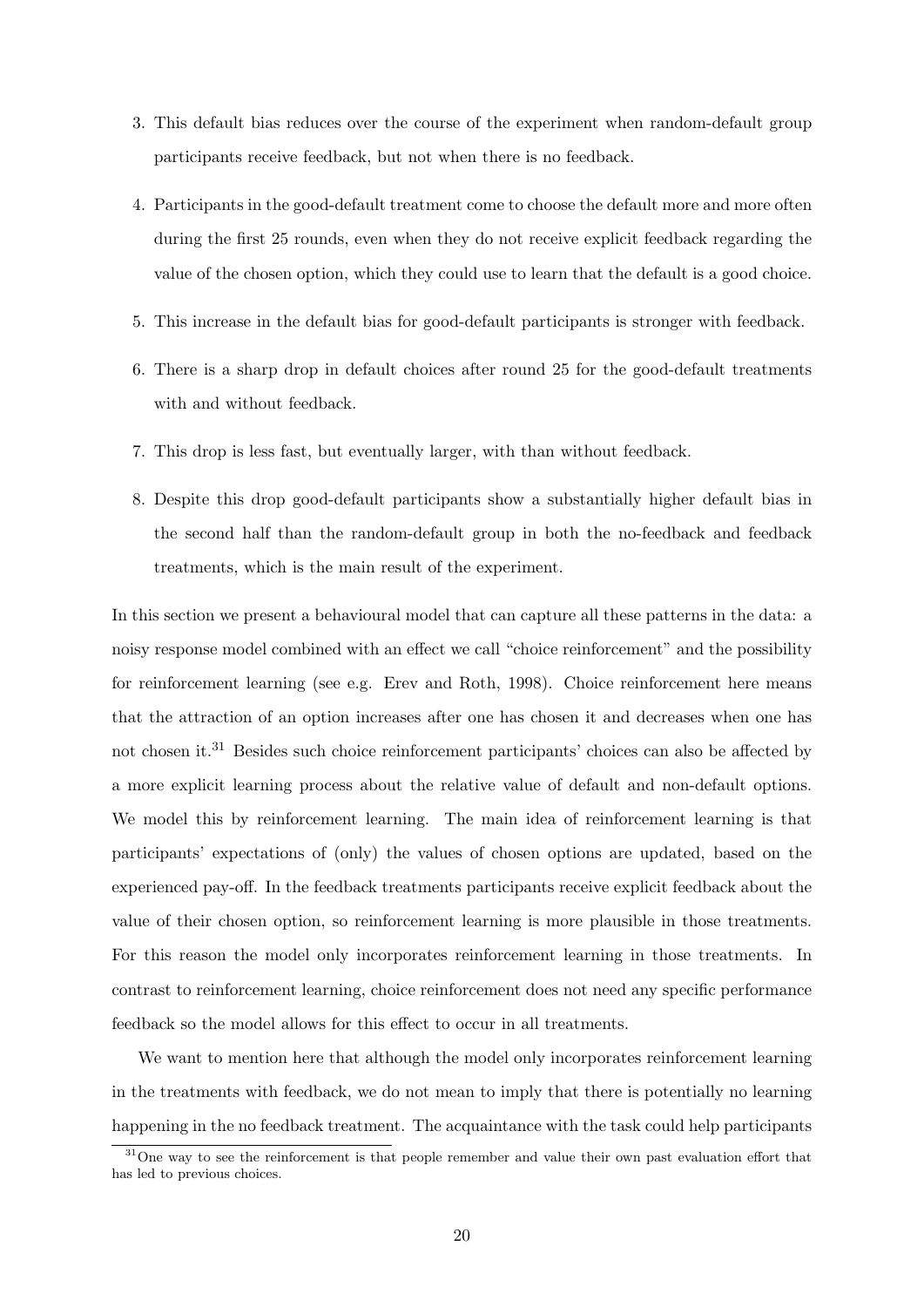- 3. This default bias reduces over the course of the experiment when random-default group participants receive feedback, but not when there is no feedback.
- 4. Participants in the good-default treatment come to choose the default more and more often during the first 25 rounds, even when they do not receive explicit feedback regarding the value of the chosen option, which they could use to learn that the default is a good choice.
- 5. This increase in the default bias for good-default participants is stronger with feedback.
- 6. There is a sharp drop in default choices after round 25 for the good-default treatments with and without feedback.
- 7. This drop is less fast, but eventually larger, with than without feedback.
- 8. Despite this drop good-default participants show a substantially higher default bias in the second half than the random-default group in both the no-feedback and feedback treatments, which is the main result of the experiment.

In this section we present a behavioural model that can capture all these patterns in the data: a noisy response model combined with an effect we call "choice reinforcement" and the possibility for reinforcement learning (see e.g. Erev and Roth, 1998). Choice reinforcement here means that the attraction of an option increases after one has chosen it and decreases when one has not chosen it.<sup>31</sup> Besides such choice reinforcement participants' choices can also be affected by a more explicit learning process about the relative value of default and non-default options. We model this by reinforcement learning. The main idea of reinforcement learning is that participants' expectations of (only) the values of chosen options are updated, based on the experienced pay-off. In the feedback treatments participants receive explicit feedback about the value of their chosen option, so reinforcement learning is more plausible in those treatments. For this reason the model only incorporates reinforcement learning in those treatments. In contrast to reinforcement learning, choice reinforcement does not need any specific performance feedback so the model allows for this effect to occur in all treatments.

We want to mention here that although the model only incorporates reinforcement learning in the treatments with feedback, we do not mean to imply that there is potentially no learning happening in the no feedback treatment. The acquaintance with the task could help participants

 $31$ One way to see the reinforcement is that people remember and value their own past evaluation effort that has led to previous choices.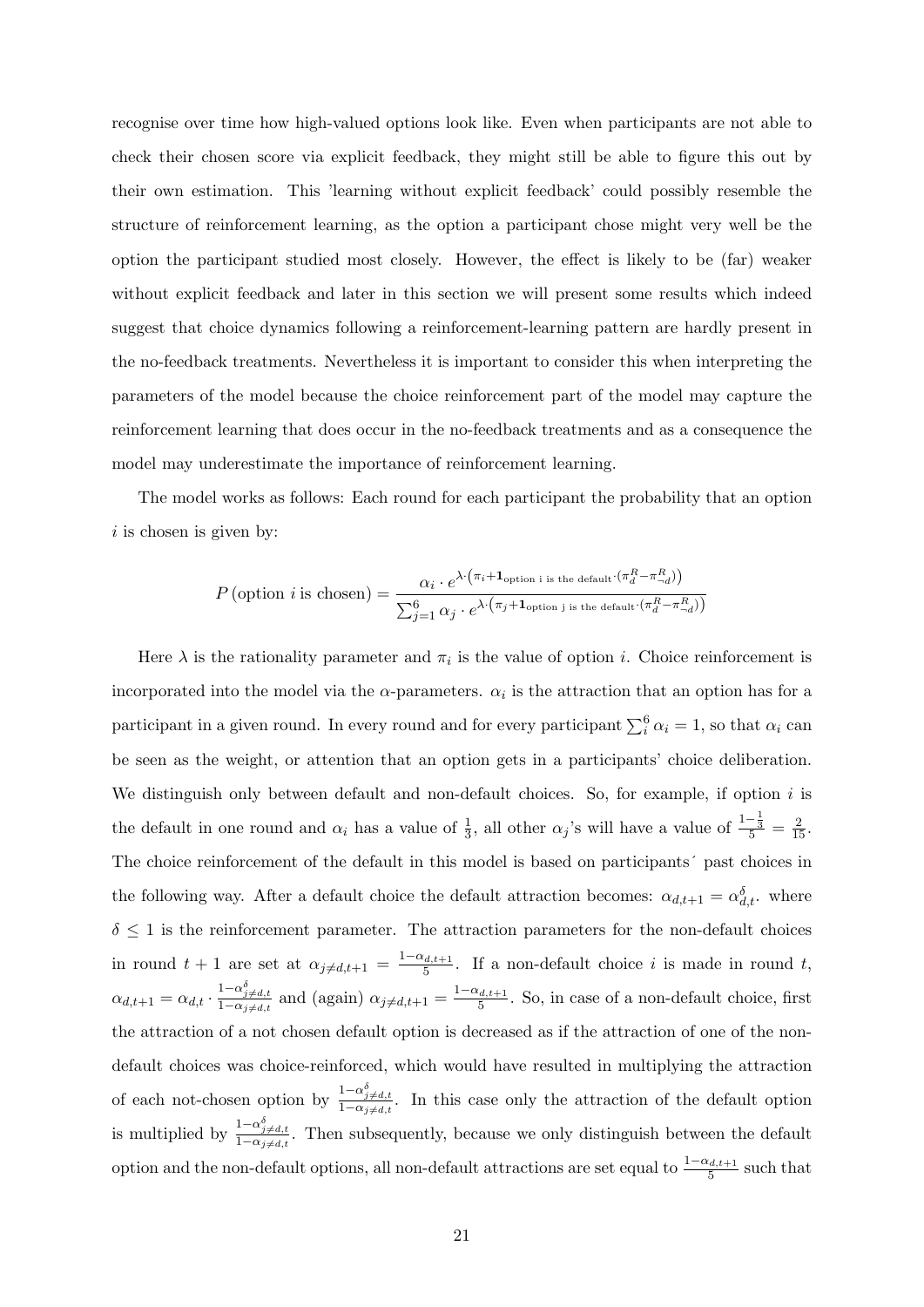recognise over time how high-valued options look like. Even when participants are not able to check their chosen score via explicit feedback, they might still be able to figure this out by their own estimation. This 'learning without explicit feedback' could possibly resemble the structure of reinforcement learning, as the option a participant chose might very well be the option the participant studied most closely. However, the effect is likely to be (far) weaker without explicit feedback and later in this section we will present some results which indeed suggest that choice dynamics following a reinforcement-learning pattern are hardly present in the no-feedback treatments. Nevertheless it is important to consider this when interpreting the parameters of the model because the choice reinforcement part of the model may capture the reinforcement learning that does occur in the no-feedback treatments and as a consequence the model may underestimate the importance of reinforcement learning.

The model works as follows: Each round for each participant the probability that an option  $i$  is chosen is given by:

$$
P\left(\text{option } i \text{ is chosen}\right) = \frac{\alpha_i \cdot e^{\lambda \cdot \left(\pi_i + \mathbf{1}_{\text{option } i \text{ is the default }} \cdot \left(\pi_d^R - \pi_{\neg d}^R\right)\right)}}{\sum_{j=1}^6 \alpha_j \cdot e^{\lambda \cdot \left(\pi_j + \mathbf{1}_{\text{option } j \text{ is the default }} \cdot \left(\pi_d^R - \pi_{\neg d}^R\right)\right)}}
$$

Here  $\lambda$  is the rationality parameter and  $\pi_i$  is the value of option *i*. Choice reinforcement is incorporated into the model via the  $\alpha$ -parameters.  $\alpha_i$  is the attraction that an option has for a participant in a given round. In every round and for every participant  $\sum_{i=1}^{6} \alpha_i = 1$ , so that  $\alpha_i$  can be seen as the weight, or attention that an option gets in a participants' choice deliberation. We distinguish only between default and non-default choices. So, for example, if option  $i$  is the default in one round and  $\alpha_i$  has a value of  $\frac{1}{3}$ , all other  $\alpha_j$ 's will have a value of  $\frac{1-\frac{1}{3}}{5}=\frac{2}{15}$ . the default in one round and  $\alpha_i$  has a value of  $\frac{1}{3}$ , all other  $\alpha_j$ 's will have a value of  $\frac{1-\frac{1}{3}}{5} = \frac{2}{15}$ .<br>The choice reinforcement of the default in this model is based on participants´ past choices i the following way. After a default choice the default attraction becomes:  $\alpha_{d,t+1} = \alpha_{d,t}^{\delta}$ , where  $\delta \leq 1$  is the reinforcement parameter. The attraction parameters for the non-default choices in round  $t + 1$  are set at  $\alpha_{j \neq d,t+1} = \frac{1-\alpha_{d,t+1}}{5}$  $\frac{d_i t+1}{5}$ . If a non-default choice i is made in round t,  $\alpha_{d,t+1} = \alpha_{d,t} \cdot \frac{1-\alpha_{j \neq d,t}^{\delta}}{1-\alpha_{j \neq d,t}}$  and (again)  $\alpha_{j \neq d,t+1} = \frac{1-\alpha_{d,t+1}}{5}$  $\frac{d_i t+1}{5}$ . So, in case of a non-default choice, first the attraction of a not chosen default option is decreased as if the attraction of one of the nondefault choices was choice-reinforced, which would have resulted in multiplying the attraction of each not-chosen option by  $\frac{1-\alpha_{j\neq d,t}^{\delta}}{1-\alpha_{j\neq d,t}}$ . In this case only the attraction of the default option is multiplied by  $\frac{1-\alpha_{j\neq d,t}^{\delta}}{1-\alpha_{j\neq d,t}}$ . Then subsequently, because we only distinguish between the default option and the non-default options, all non-default attractions are set equal to  $\frac{1-\alpha_{d,t+1}}{5}$  such that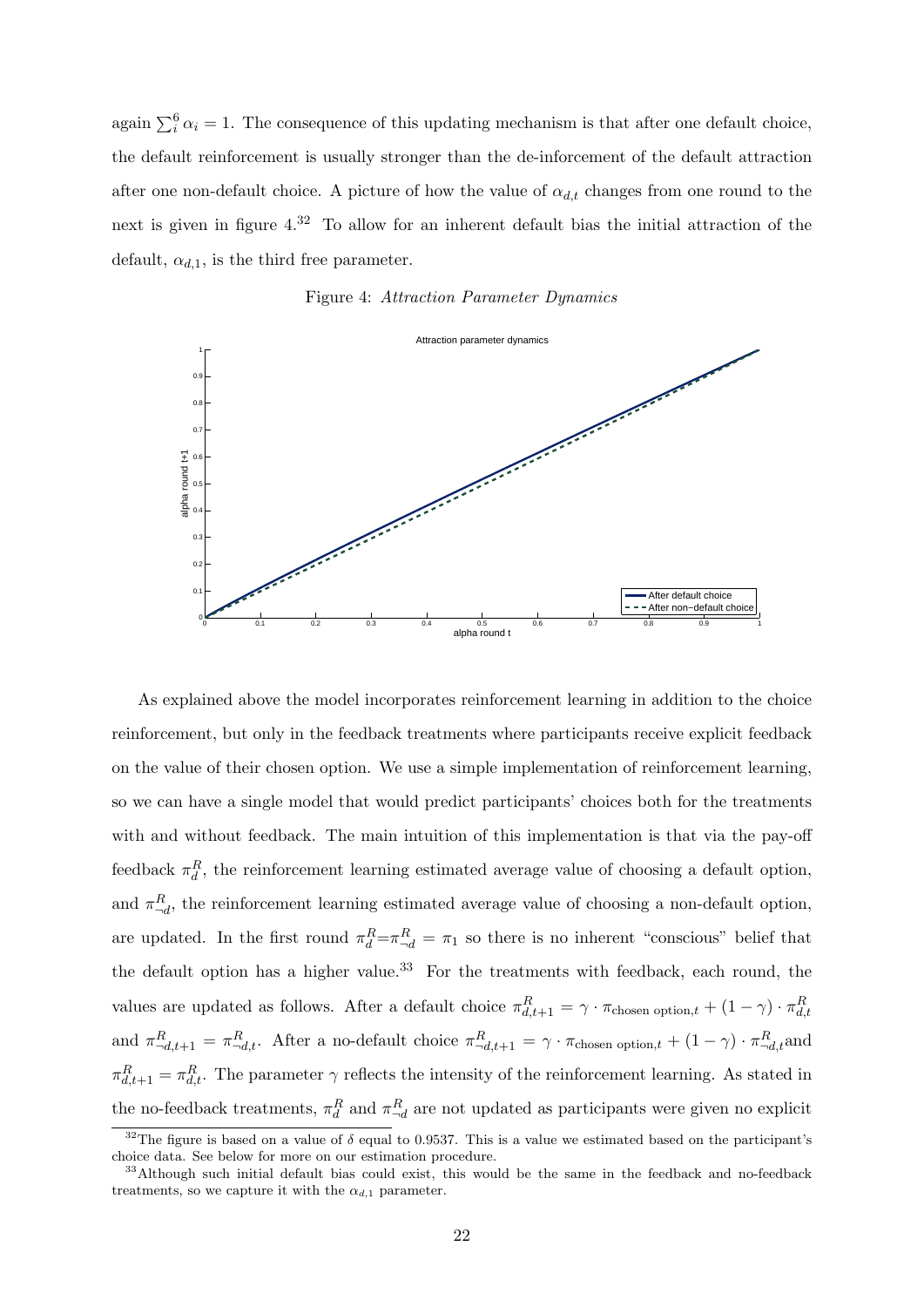again  $\sum_{i=1}^{6} \alpha_i = 1$ . The consequence of this updating mechanism is that after one default choice, the default reinforcement is usually stronger than the de-inforcement of the default attraction after one non-default choice. A picture of how the value of  $\alpha_{d,t}$  changes from one round to the next is given in figure 4.<sup>32</sup> To allow for an inherent default bias the initial attraction of the default,  $\alpha_{d,1}$ , is the third free parameter.

#### Figure 4: Attraction Parameter Dynamics



As explained above the model incorporates reinforcement learning in addition to the choice reinforcement, but only in the feedback treatments where participants receive explicit feedback on the value of their chosen option. We use a simple implementation of reinforcement learning, so we can have a single model that would predict participants' choices both for the treatments with and without feedback. The main intuition of this implementation is that via the pay-off feedback  $\pi_d^R$ , the reinforcement learning estimated average value of choosing a default option, and  $\pi_{\neg d}^R$ , the reinforcement learning estimated average value of choosing a non-default option, are updated. In the first round  $\pi_d^R = \pi_{d}^R = \pi_1$  so there is no inherent "conscious" belief that the default option has a higher value.<sup>33</sup> For the treatments with feedback, each round, the values are updated as follows. After a default choice  $\pi_{d,t+1}^R = \gamma \cdot \pi_{\text{chosen option},t} + (1 - \gamma) \cdot \pi_{d,t}^R$ and  $\pi_{\neg d,t+1}^R = \pi_{\neg d,t}^R$ . After a no-default choice  $\pi_{\neg d,t+1}^R = \gamma \cdot \pi_{\text{chosen option},t} + (1 - \gamma) \cdot \pi_{\neg d,t}^R$  and  $\pi_{d,t+1}^R = \pi_{d,t}^R$ . The parameter  $\gamma$  reflects the intensity of the reinforcement learning. As stated in the no-feedback treatments,  $\pi_d^R$  and  $\pi_{\neg d}^R$  are not updated as participants were given no explicit

<sup>&</sup>lt;sup>32</sup>The figure is based on a value of  $\delta$  equal to 0.9537. This is a value we estimated based on the participant's choice data. See below for more on our estimation procedure.

<sup>33</sup>Although such initial default bias could exist, this would be the same in the feedback and no-feedback treatments, so we capture it with the  $\alpha_{d,1}$  parameter.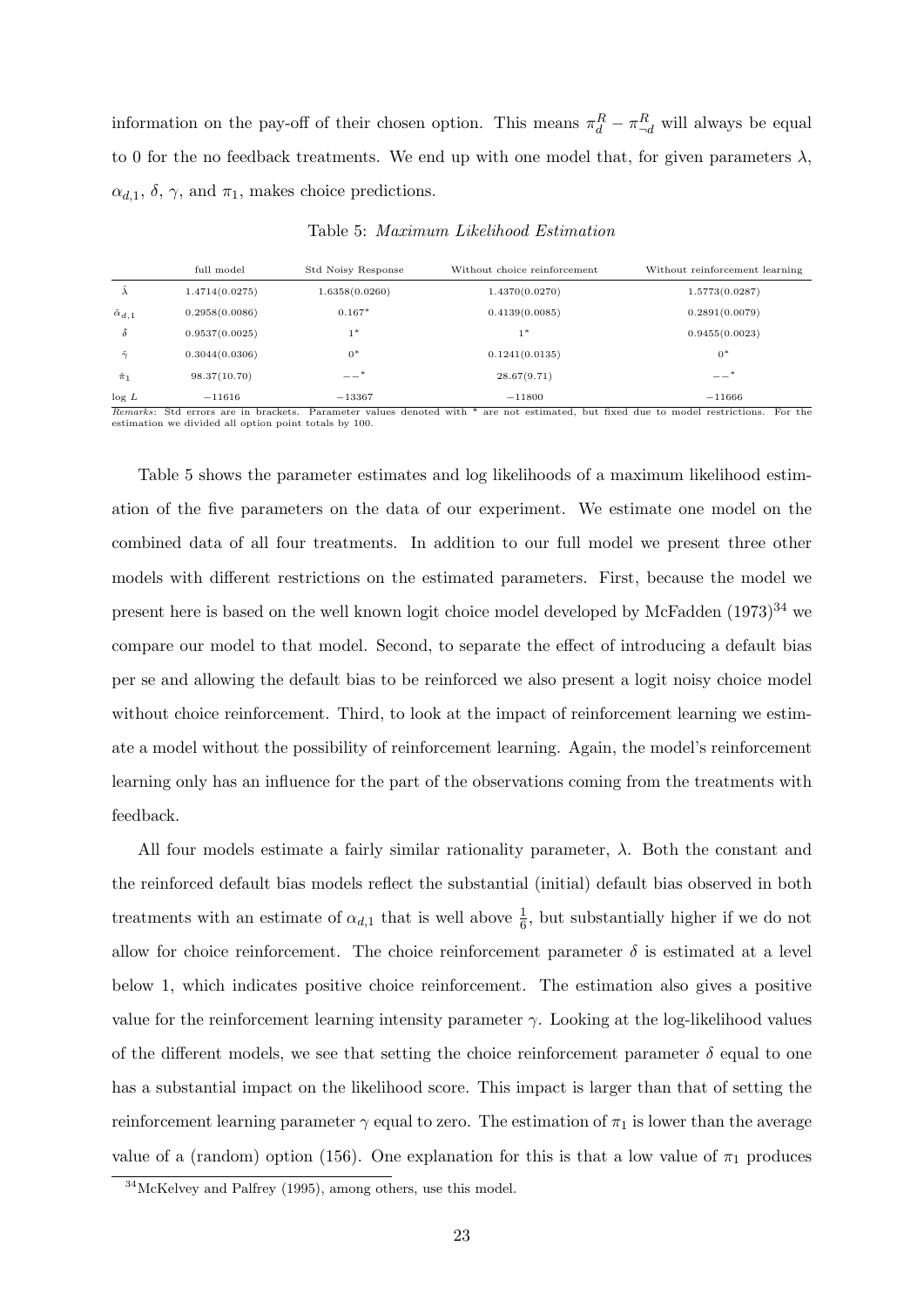information on the pay-off of their chosen option. This means  $\pi_d^R - \pi_{-d}^R$  will always be equal to 0 for the no feedback treatments. We end up with one model that, for given parameters  $\lambda$ ,  $\alpha_{d,1}, \delta, \gamma$ , and  $\pi_1$ , makes choice predictions.

|                      | full model     | Std Noisy Response | Without choice reinforcement | Without reinforcement learning |
|----------------------|----------------|--------------------|------------------------------|--------------------------------|
| $\lambda$            | 1.4714(0.0275) | 1.6358(0.0260)     | 1.4370(0.0270)               | 1.5773(0.0287)                 |
| $\hat{\alpha}_{d,1}$ | 0.2958(0.0086) | $0.167*$           | 0.4139(0.0085)               | 0.2891(0.0079)                 |
| $\hat{\delta}$       | 0.9537(0.0025) | $1 *$              | $1*$                         | 0.9455(0.0023)                 |
| ŵ                    | 0.3044(0.0306) | $0^*$              | 0.1241(0.0135)               | $0^*$                          |
| $\hat{\pi}_1$        | 98.37(10.70)   | $--$ *             | 28.67(9.71)                  | $--$ *                         |
| log L                | $-11616$       | $-13367$           | $-11800$                     | $-11666$                       |

Table 5: Maximum Likelihood Estimation

Remarks: Std errors are in brackets. Parameter values denoted with \* are not estimated, but fixed due to model restrictions. For the estimation we divided all option point totals by 100.

Table 5 shows the parameter estimates and log likelihoods of a maximum likelihood estimation of the five parameters on the data of our experiment. We estimate one model on the combined data of all four treatments. In addition to our full model we present three other models with different restrictions on the estimated parameters. First, because the model we present here is based on the well known logit choice model developed by McFadden  $(1973)^{34}$  we compare our model to that model. Second, to separate the effect of introducing a default bias per se and allowing the default bias to be reinforced we also present a logit noisy choice model without choice reinforcement. Third, to look at the impact of reinforcement learning we estimate a model without the possibility of reinforcement learning. Again, the model's reinforcement learning only has an influence for the part of the observations coming from the treatments with feedback.

All four models estimate a fairly similar rationality parameter,  $\lambda$ . Both the constant and the reinforced default bias models reflect the substantial (initial) default bias observed in both treatments with an estimate of  $\alpha_{d,1}$  that is well above  $\frac{1}{6}$ , but substantially higher if we do not allow for choice reinforcement. The choice reinforcement parameter  $\delta$  is estimated at a level below 1, which indicates positive choice reinforcement. The estimation also gives a positive value for the reinforcement learning intensity parameter  $\gamma$ . Looking at the log-likelihood values of the different models, we see that setting the choice reinforcement parameter  $\delta$  equal to one has a substantial impact on the likelihood score. This impact is larger than that of setting the reinforcement learning parameter  $\gamma$  equal to zero. The estimation of  $\pi_1$  is lower than the average value of a (random) option (156). One explanation for this is that a low value of  $\pi_1$  produces

<sup>34</sup>McKelvey and Palfrey (1995), among others, use this model.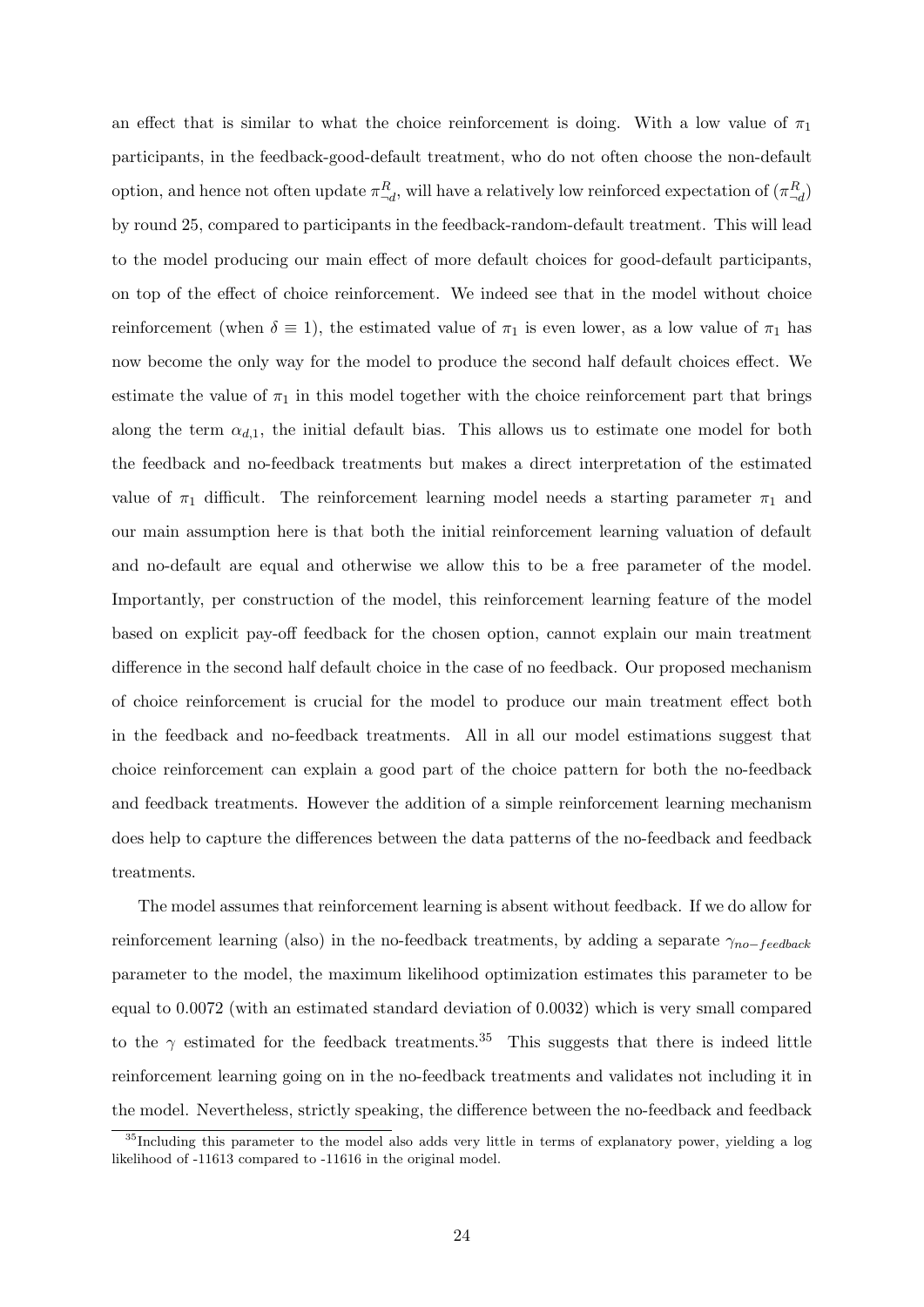an effect that is similar to what the choice reinforcement is doing. With a low value of  $\pi_1$ participants, in the feedback-good-default treatment, who do not often choose the non-default option, and hence not often update  $\pi_{\neg d}^R$ , will have a relatively low reinforced expectation of  $(\pi_{\neg d}^R)$ by round 25, compared to participants in the feedback-random-default treatment. This will lead to the model producing our main effect of more default choices for good-default participants, on top of the effect of choice reinforcement. We indeed see that in the model without choice reinforcement (when  $\delta \equiv 1$ ), the estimated value of  $\pi_1$  is even lower, as a low value of  $\pi_1$  has now become the only way for the model to produce the second half default choices effect. We estimate the value of  $\pi_1$  in this model together with the choice reinforcement part that brings along the term  $\alpha_{d,1}$ , the initial default bias. This allows us to estimate one model for both the feedback and no-feedback treatments but makes a direct interpretation of the estimated value of  $\pi_1$  difficult. The reinforcement learning model needs a starting parameter  $\pi_1$  and our main assumption here is that both the initial reinforcement learning valuation of default and no-default are equal and otherwise we allow this to be a free parameter of the model. Importantly, per construction of the model, this reinforcement learning feature of the model based on explicit pay-off feedback for the chosen option, cannot explain our main treatment difference in the second half default choice in the case of no feedback. Our proposed mechanism of choice reinforcement is crucial for the model to produce our main treatment effect both in the feedback and no-feedback treatments. All in all our model estimations suggest that choice reinforcement can explain a good part of the choice pattern for both the no-feedback and feedback treatments. However the addition of a simple reinforcement learning mechanism does help to capture the differences between the data patterns of the no-feedback and feedback treatments.

The model assumes that reinforcement learning is absent without feedback. If we do allow for reinforcement learning (also) in the no-feedback treatments, by adding a separate  $\gamma_{no-feedback}$ parameter to the model, the maximum likelihood optimization estimates this parameter to be equal to 0.0072 (with an estimated standard deviation of 0.0032) which is very small compared to the  $\gamma$  estimated for the feedback treatments.<sup>35</sup> This suggests that there is indeed little reinforcement learning going on in the no-feedback treatments and validates not including it in the model. Nevertheless, strictly speaking, the difference between the no-feedback and feedback

<sup>&</sup>lt;sup>35</sup>Including this parameter to the model also adds very little in terms of explanatory power, yielding a log likelihood of -11613 compared to -11616 in the original model.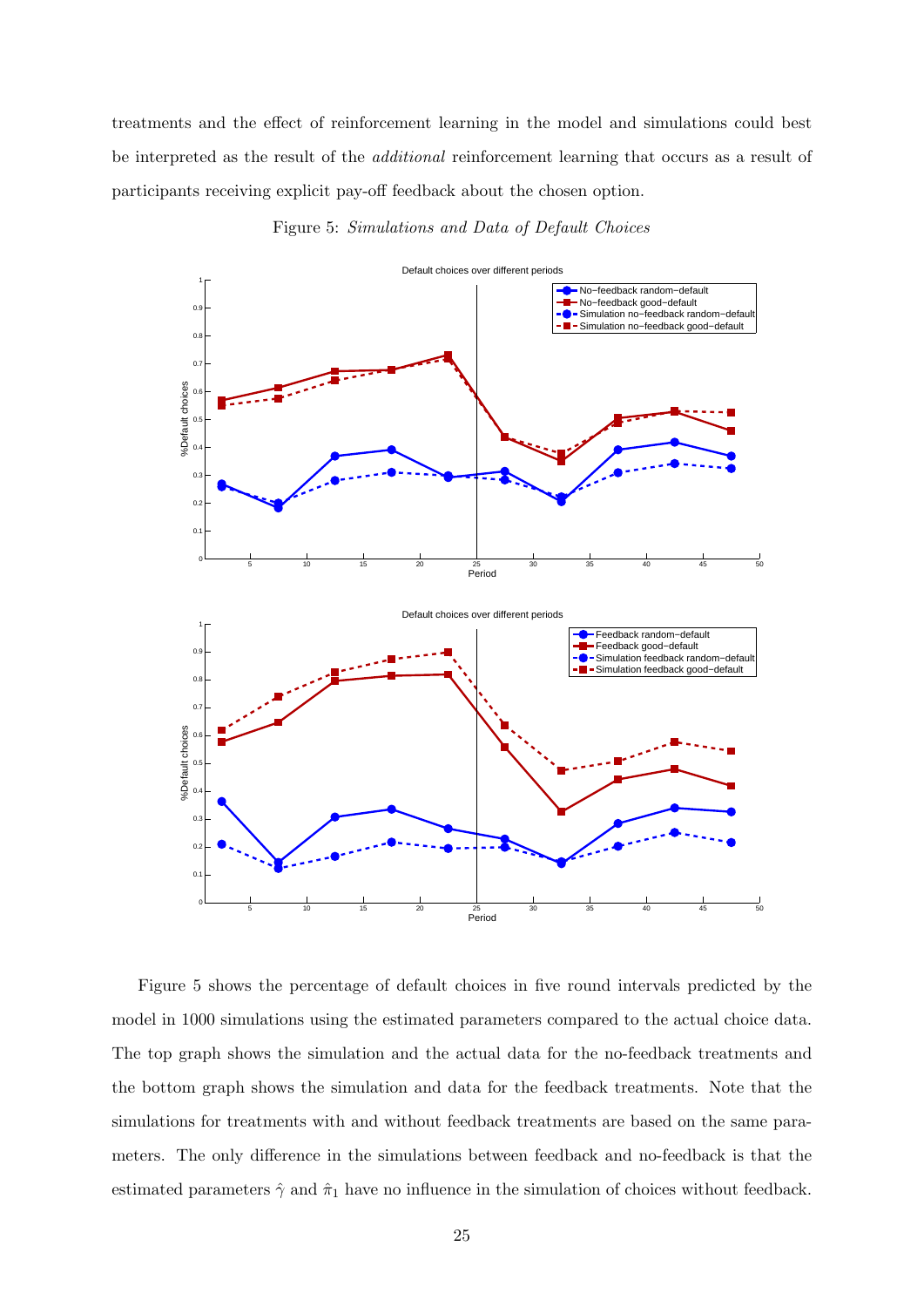treatments and the effect of reinforcement learning in the model and simulations could best be interpreted as the result of the additional reinforcement learning that occurs as a result of participants receiving explicit pay-off feedback about the chosen option.



Figure 5: Simulations and Data of Default Choices

Figure 5 shows the percentage of default choices in five round intervals predicted by the model in 1000 simulations using the estimated parameters compared to the actual choice data. The top graph shows the simulation and the actual data for the no-feedback treatments and the bottom graph shows the simulation and data for the feedback treatments. Note that the simulations for treatments with and without feedback treatments are based on the same parameters. The only difference in the simulations between feedback and no-feedback is that the estimated parameters  $\hat{\gamma}$  and  $\hat{\pi}_1$  have no influence in the simulation of choices without feedback.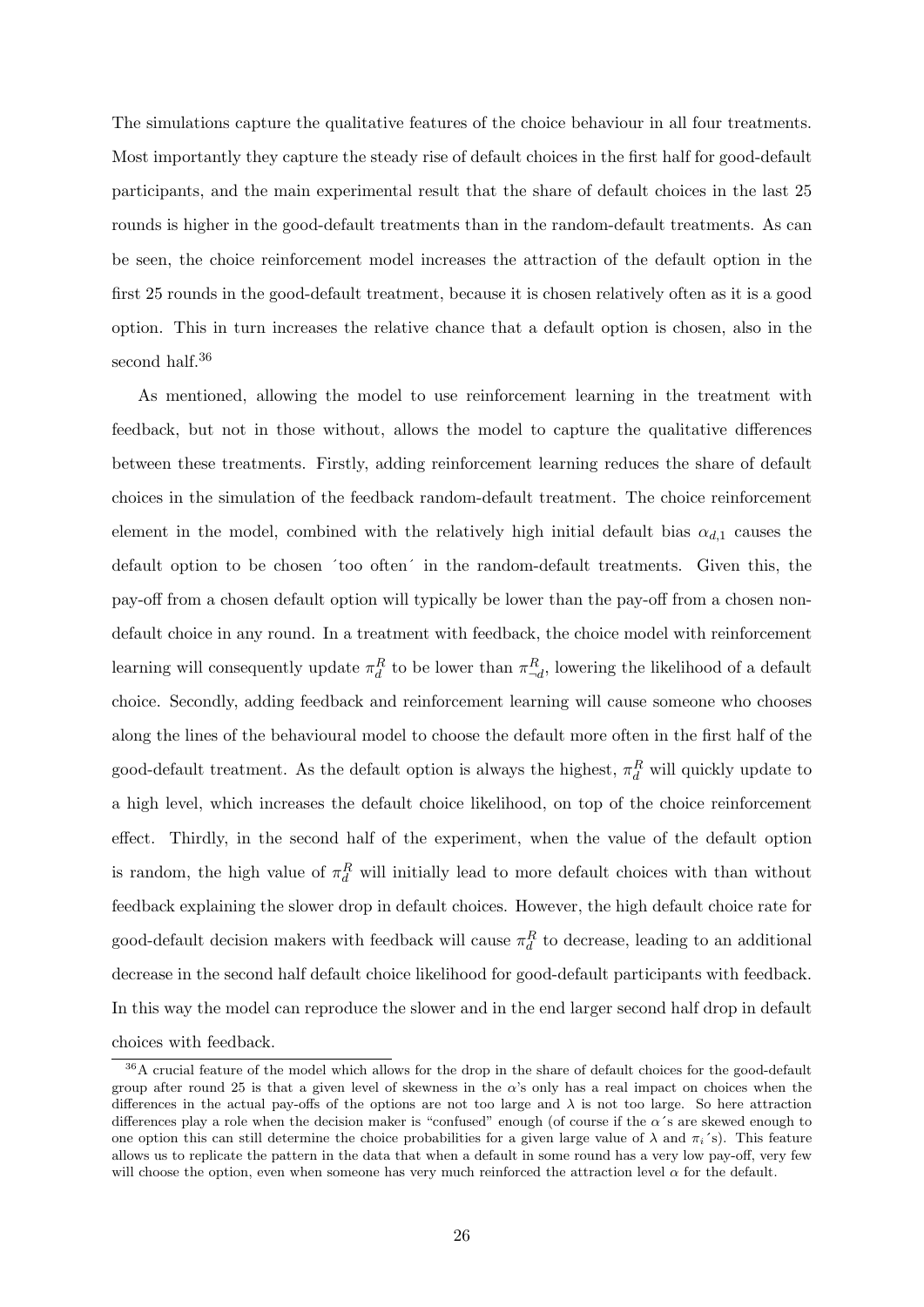The simulations capture the qualitative features of the choice behaviour in all four treatments. Most importantly they capture the steady rise of default choices in the first half for good-default participants, and the main experimental result that the share of default choices in the last 25 rounds is higher in the good-default treatments than in the random-default treatments. As can be seen, the choice reinforcement model increases the attraction of the default option in the first 25 rounds in the good-default treatment, because it is chosen relatively often as it is a good option. This in turn increases the relative chance that a default option is chosen, also in the second half.<sup>36</sup>

As mentioned, allowing the model to use reinforcement learning in the treatment with feedback, but not in those without, allows the model to capture the qualitative differences between these treatments. Firstly, adding reinforcement learning reduces the share of default choices in the simulation of the feedback random-default treatment. The choice reinforcement element in the model, combined with the relatively high initial default bias  $\alpha_{d,1}$  causes the element in the model, combined with the relatively high initial default bias  $\alpha_{d,1}$  causes the default option to be chosen 'too often' in the random-default treatments. Given this, the pay-off from a chosen default option will typically be lower than the pay-off from a chosen nondefault choice in any round. In a treatment with feedback, the choice model with reinforcement learning will consequently update  $\pi_d^R$  to be lower than  $\pi_{\neg d}^R$ , lowering the likelihood of a default choice. Secondly, adding feedback and reinforcement learning will cause someone who chooses along the lines of the behavioural model to choose the default more often in the first half of the good-default treatment. As the default option is always the highest,  $\pi_d^R$  will quickly update to a high level, which increases the default choice likelihood, on top of the choice reinforcement effect. Thirdly, in the second half of the experiment, when the value of the default option is random, the high value of  $\pi_d^R$  will initially lead to more default choices with than without feedback explaining the slower drop in default choices. However, the high default choice rate for good-default decision makers with feedback will cause  $\pi_d^R$  to decrease, leading to an additional decrease in the second half default choice likelihood for good-default participants with feedback. In this way the model can reproduce the slower and in the end larger second half drop in default choices with feedback.

<sup>36</sup>A crucial feature of the model which allows for the drop in the share of default choices for the good-default group after round 25 is that a given level of skewness in the  $\alpha$ 's only has a real impact on choices when the differences in the actual pay-offs of the options are not too large and  $\lambda$  is not too large. So here attraction group after round 25 is that a given level of skewness in the  $\alpha$ 's only has a real impact on choices when the differences in the actual pay-offs of the options are not too large and  $\lambda$  is not too large. So here attrac differences in the actual pay-offs of the options are not too large and  $\lambda$  is not too large. So here attraction differences play a role when the decision maker is "confused" enough (of course if the  $\alpha$ 's are skewed en allows us to replicate the pattern in the data that when a default in some round has a very low pay-off, very few will choose the option, even when someone has very much reinforced the attraction level  $\alpha$  for the default.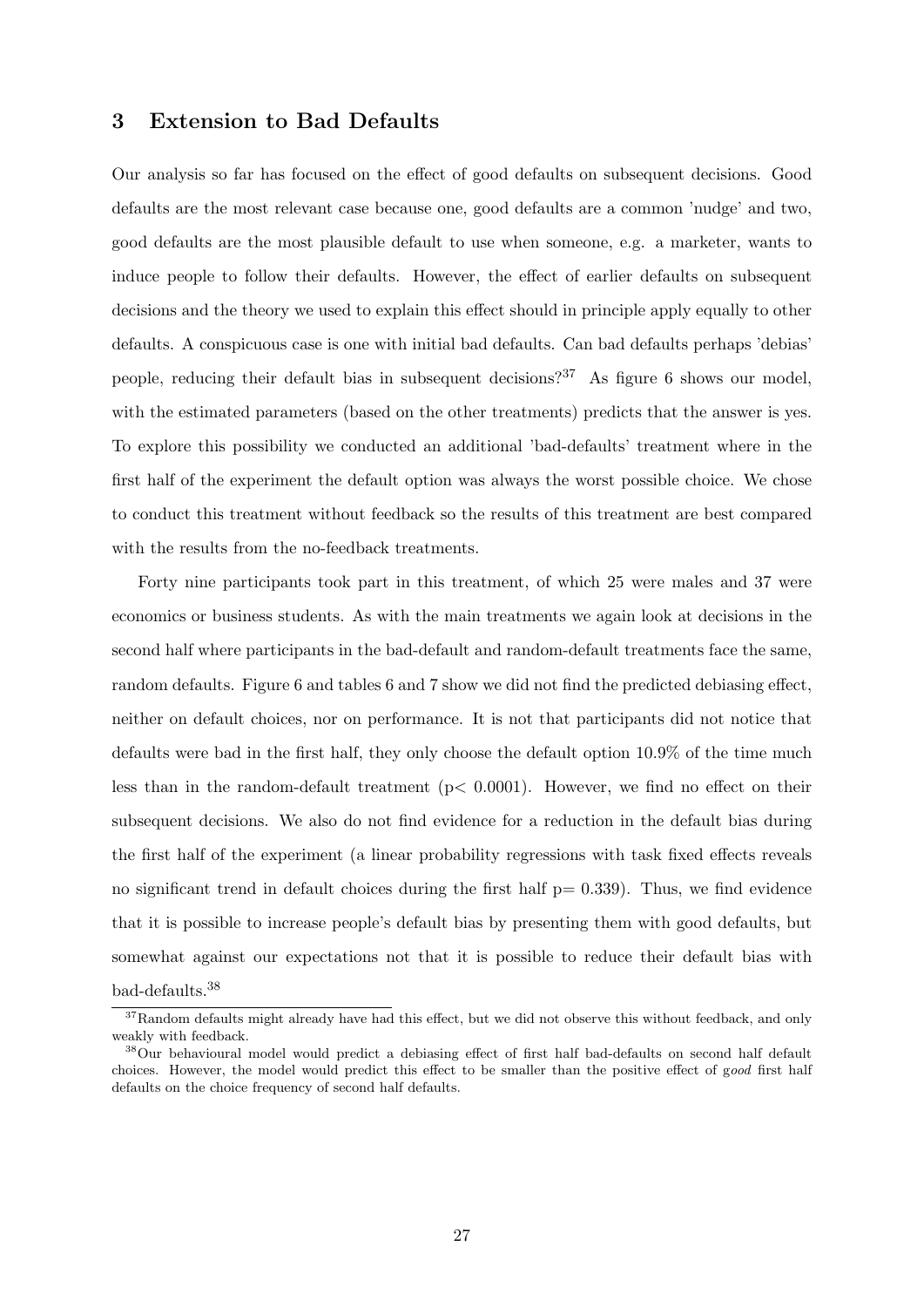## 3 Extension to Bad Defaults

Our analysis so far has focused on the effect of good defaults on subsequent decisions. Good defaults are the most relevant case because one, good defaults are a common 'nudge' and two, good defaults are the most plausible default to use when someone, e.g. a marketer, wants to induce people to follow their defaults. However, the effect of earlier defaults on subsequent decisions and the theory we used to explain this effect should in principle apply equally to other defaults. A conspicuous case is one with initial bad defaults. Can bad defaults perhaps 'debias' people, reducing their default bias in subsequent decisions?<sup>37</sup> As figure 6 shows our model, with the estimated parameters (based on the other treatments) predicts that the answer is yes. To explore this possibility we conducted an additional 'bad-defaults' treatment where in the first half of the experiment the default option was always the worst possible choice. We chose to conduct this treatment without feedback so the results of this treatment are best compared with the results from the no-feedback treatments.

Forty nine participants took part in this treatment, of which 25 were males and 37 were economics or business students. As with the main treatments we again look at decisions in the second half where participants in the bad-default and random-default treatments face the same, random defaults. Figure 6 and tables 6 and 7 show we did not find the predicted debiasing effect, neither on default choices, nor on performance. It is not that participants did not notice that defaults were bad in the first half, they only choose the default option 10.9% of the time much less than in the random-default treatment  $(p< 0.0001)$ . However, we find no effect on their subsequent decisions. We also do not find evidence for a reduction in the default bias during the first half of the experiment (a linear probability regressions with task fixed effects reveals no significant trend in default choices during the first half  $p= 0.339$ . Thus, we find evidence that it is possible to increase people's default bias by presenting them with good defaults, but somewhat against our expectations not that it is possible to reduce their default bias with bad-defaults.<sup>38</sup>

<sup>&</sup>lt;sup>37</sup>Random defaults might already have had this effect, but we did not observe this without feedback, and only weakly with feedback.

<sup>38</sup>Our behavioural model would predict a debiasing effect of first half bad-defaults on second half default choices. However, the model would predict this effect to be smaller than the positive effect of good first half defaults on the choice frequency of second half defaults.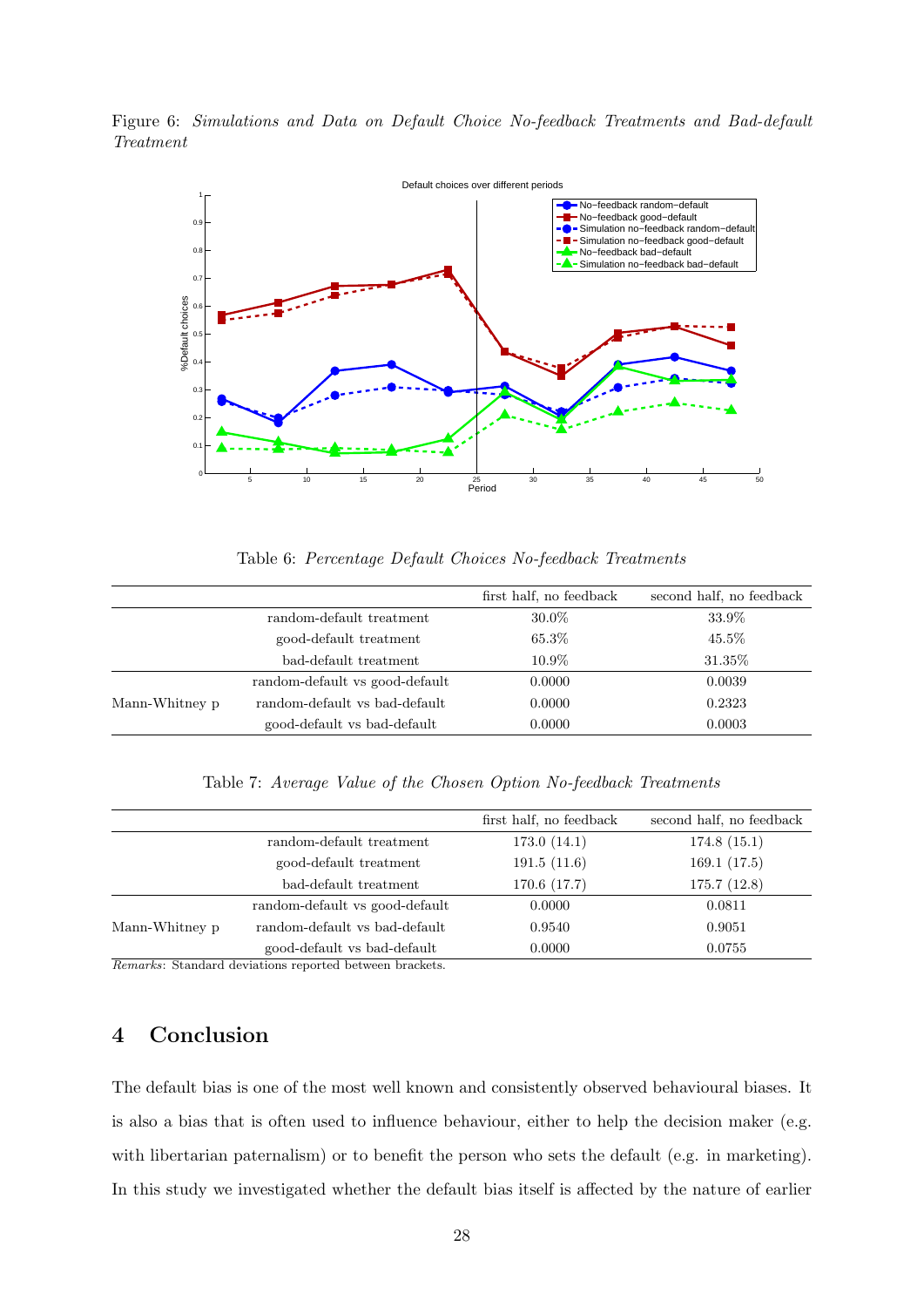Figure 6: Simulations and Data on Default Choice No-feedback Treatments and Bad-default Treatment



Table 6: Percentage Default Choices No-feedback Treatments

|                |                                | first half, no feedback | second half, no feedback |
|----------------|--------------------------------|-------------------------|--------------------------|
|                | random-default treatment       | $30.0\%$                | 33.9%                    |
|                | good-default treatment         | 65.3%                   | 45.5%                    |
|                | bad-default treatment          | 10.9%                   | 31.35%                   |
|                | random-default vs good-default | 0.0000                  | 0.0039                   |
| Mann-Whitney p | random-default vs bad-default  | 0.0000                  | 0.2323                   |
|                | good-default vs bad-default    | 0.0000                  | 0.0003                   |

Table 7: Average Value of the Chosen Option No-feedback Treatments

|                |                                | first half, no feedback | second half, no feedback |
|----------------|--------------------------------|-------------------------|--------------------------|
|                | random-default treatment       | 173.0(14.1)             | 174.8(15.1)              |
|                | good-default treatment         | 191.5(11.6)             | 169.1(17.5)              |
|                | bad-default treatment          | 170.6 (17.7)            | 175.7(12.8)              |
|                | random-default vs good-default | 0.0000                  | 0.0811                   |
| Mann-Whitney p | random-default vs bad-default  | 0.9540                  | 0.9051                   |
|                | good-default vs bad-default    | 0.0000                  | 0.0755                   |
| .              |                                |                         |                          |

Remarks: Standard deviations reported between brackets.

# 4 Conclusion

The default bias is one of the most well known and consistently observed behavioural biases. It is also a bias that is often used to influence behaviour, either to help the decision maker (e.g. with libertarian paternalism) or to benefit the person who sets the default (e.g. in marketing). In this study we investigated whether the default bias itself is affected by the nature of earlier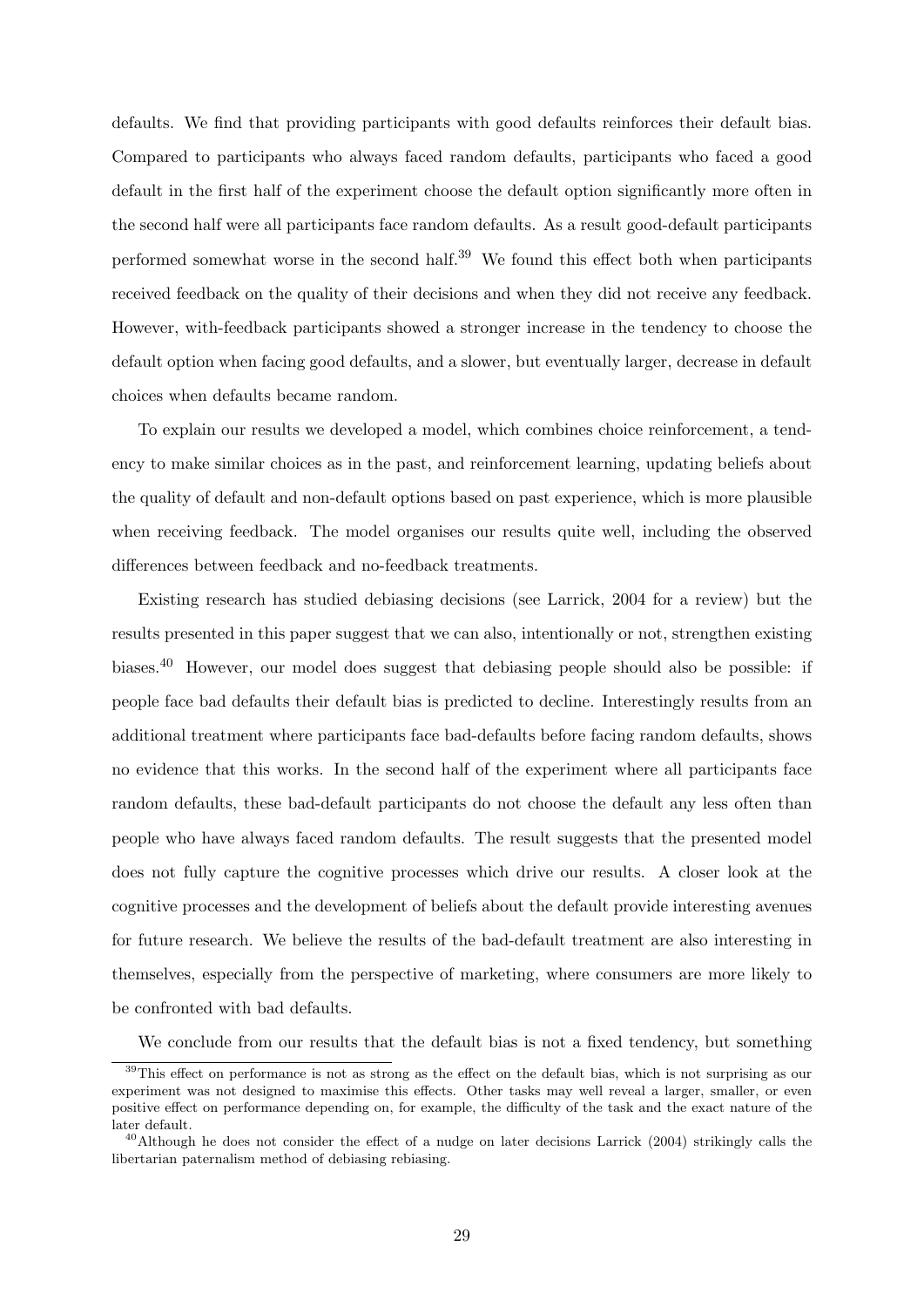defaults. We find that providing participants with good defaults reinforces their default bias. Compared to participants who always faced random defaults, participants who faced a good default in the first half of the experiment choose the default option significantly more often in the second half were all participants face random defaults. As a result good-default participants performed somewhat worse in the second half.<sup>39</sup> We found this effect both when participants received feedback on the quality of their decisions and when they did not receive any feedback. However, with-feedback participants showed a stronger increase in the tendency to choose the default option when facing good defaults, and a slower, but eventually larger, decrease in default choices when defaults became random.

To explain our results we developed a model, which combines choice reinforcement, a tendency to make similar choices as in the past, and reinforcement learning, updating beliefs about the quality of default and non-default options based on past experience, which is more plausible when receiving feedback. The model organises our results quite well, including the observed differences between feedback and no-feedback treatments.

Existing research has studied debiasing decisions (see Larrick, 2004 for a review) but the results presented in this paper suggest that we can also, intentionally or not, strengthen existing biases.<sup>40</sup> However, our model does suggest that debiasing people should also be possible: if people face bad defaults their default bias is predicted to decline. Interestingly results from an additional treatment where participants face bad-defaults before facing random defaults, shows no evidence that this works. In the second half of the experiment where all participants face random defaults, these bad-default participants do not choose the default any less often than people who have always faced random defaults. The result suggests that the presented model does not fully capture the cognitive processes which drive our results. A closer look at the cognitive processes and the development of beliefs about the default provide interesting avenues for future research. We believe the results of the bad-default treatment are also interesting in themselves, especially from the perspective of marketing, where consumers are more likely to be confronted with bad defaults.

We conclude from our results that the default bias is not a fixed tendency, but something

<sup>&</sup>lt;sup>39</sup>This effect on performance is not as strong as the effect on the default bias, which is not surprising as our experiment was not designed to maximise this effects. Other tasks may well reveal a larger, smaller, or even positive effect on performance depending on, for example, the difficulty of the task and the exact nature of the later default.

<sup>40</sup>Although he does not consider the effect of a nudge on later decisions Larrick (2004) strikingly calls the libertarian paternalism method of debiasing rebiasing.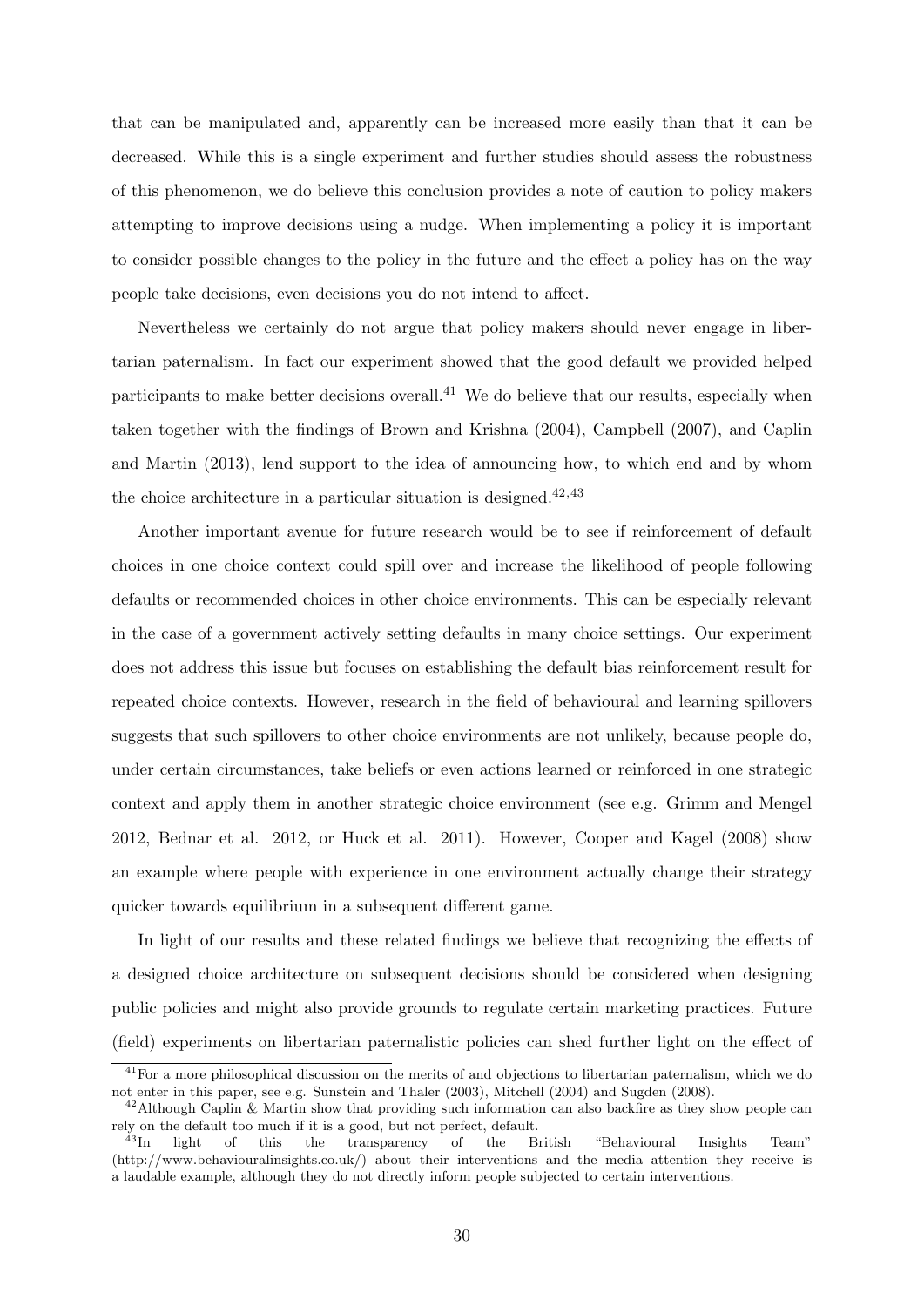that can be manipulated and, apparently can be increased more easily than that it can be decreased. While this is a single experiment and further studies should assess the robustness of this phenomenon, we do believe this conclusion provides a note of caution to policy makers attempting to improve decisions using a nudge. When implementing a policy it is important to consider possible changes to the policy in the future and the effect a policy has on the way people take decisions, even decisions you do not intend to affect.

Nevertheless we certainly do not argue that policy makers should never engage in libertarian paternalism. In fact our experiment showed that the good default we provided helped participants to make better decisions overall.<sup>41</sup> We do believe that our results, especially when taken together with the findings of Brown and Krishna (2004), Campbell (2007), and Caplin and Martin (2013), lend support to the idea of announcing how, to which end and by whom the choice architecture in a particular situation is designed.<sup>42,43</sup>

Another important avenue for future research would be to see if reinforcement of default choices in one choice context could spill over and increase the likelihood of people following defaults or recommended choices in other choice environments. This can be especially relevant in the case of a government actively setting defaults in many choice settings. Our experiment does not address this issue but focuses on establishing the default bias reinforcement result for repeated choice contexts. However, research in the field of behavioural and learning spillovers suggests that such spillovers to other choice environments are not unlikely, because people do, under certain circumstances, take beliefs or even actions learned or reinforced in one strategic context and apply them in another strategic choice environment (see e.g. Grimm and Mengel 2012, Bednar et al. 2012, or Huck et al. 2011). However, Cooper and Kagel (2008) show an example where people with experience in one environment actually change their strategy quicker towards equilibrium in a subsequent different game.

In light of our results and these related findings we believe that recognizing the effects of a designed choice architecture on subsequent decisions should be considered when designing public policies and might also provide grounds to regulate certain marketing practices. Future (field) experiments on libertarian paternalistic policies can shed further light on the effect of

<sup>&</sup>lt;sup>41</sup>For a more philosophical discussion on the merits of and objections to libertarian paternalism, which we do not enter in this paper, see e.g. Sunstein and Thaler (2003), Mitchell (2004) and Sugden (2008).

 $^{42}$ Although Caplin & Martin show that providing such information can also backfire as they show people can rely on the default too much if it is a good, but not perfect, default.

<sup>43</sup>In light of this the transparency of the British "Behavioural Insights Team" (http://www.behaviouralinsights.co.uk/) about their interventions and the media attention they receive is a laudable example, although they do not directly inform people subjected to certain interventions.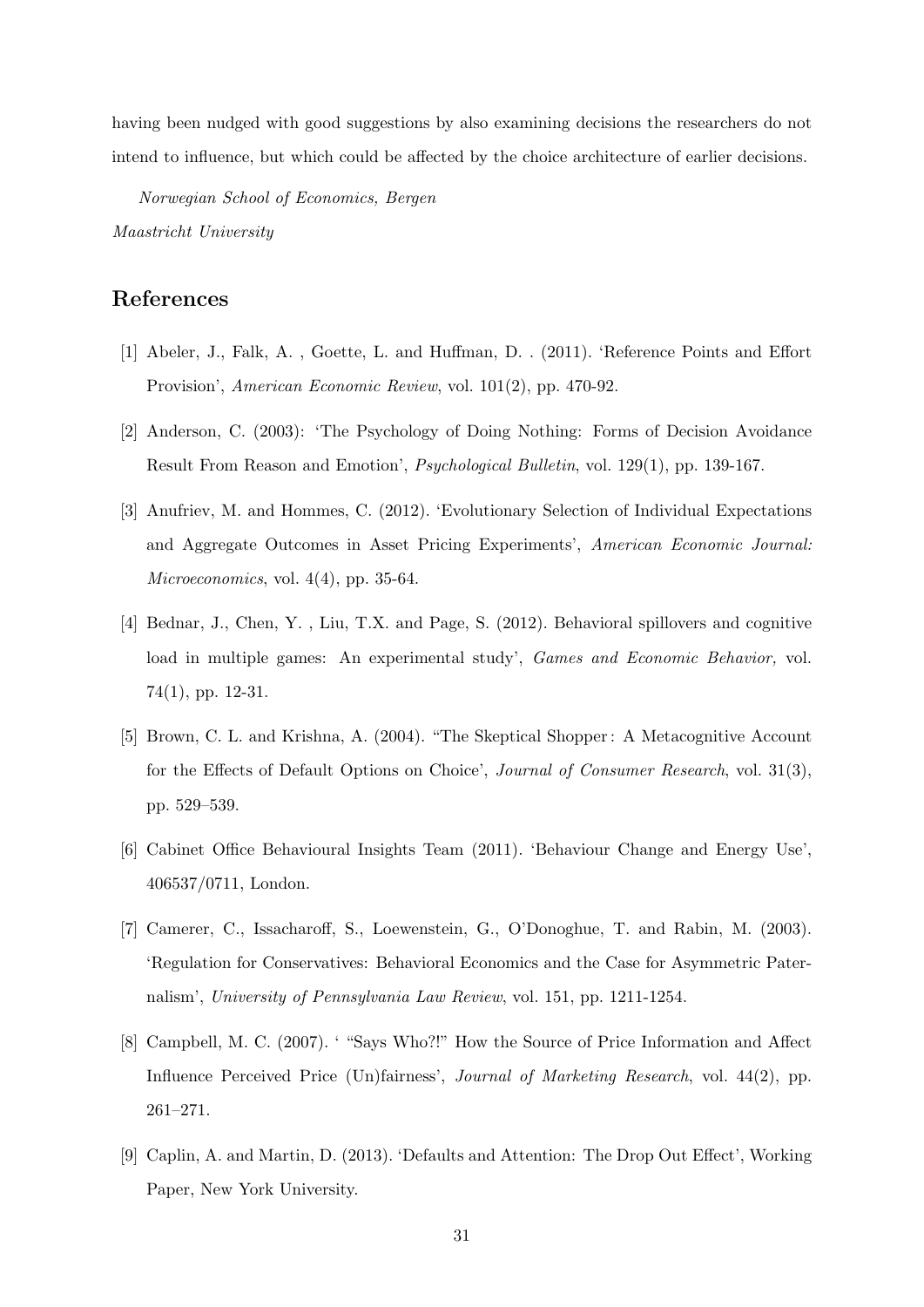having been nudged with good suggestions by also examining decisions the researchers do not intend to influence, but which could be affected by the choice architecture of earlier decisions.

Norwegian School of Economics, Bergen Maastricht University

## References

- [1] Abeler, J., Falk, A. , Goette, L. and Huffman, D. . (2011). 'Reference Points and Effort Provision', American Economic Review, vol. 101(2), pp. 470-92.
- [2] Anderson, C. (2003): 'The Psychology of Doing Nothing: Forms of Decision Avoidance Result From Reason and Emotion', Psychological Bulletin, vol. 129(1), pp. 139-167.
- [3] Anufriev, M. and Hommes, C. (2012). 'Evolutionary Selection of Individual Expectations and Aggregate Outcomes in Asset Pricing Experiments', American Economic Journal: Microeconomics, vol.  $4(4)$ , pp. 35-64.
- [4] Bednar, J., Chen, Y. , Liu, T.X. and Page, S. (2012). Behavioral spillovers and cognitive load in multiple games: An experimental study', Games and Economic Behavior, vol. 74(1), pp. 12-31.
- [5] Brown, C. L. and Krishna, A. (2004). "The Skeptical Shopper : A Metacognitive Account for the Effects of Default Options on Choice', Journal of Consumer Research, vol. 31(3), pp. 529–539.
- [6] Cabinet Office Behavioural Insights Team (2011). 'Behaviour Change and Energy Use', 406537/0711, London.
- [7] Camerer, C., Issacharoff, S., Loewenstein, G., O'Donoghue, T. and Rabin, M. (2003). 'Regulation for Conservatives: Behavioral Economics and the Case for Asymmetric Paternalism', University of Pennsylvania Law Review, vol. 151, pp. 1211-1254.
- [8] Campbell, M. C. (2007). ' "Says Who?!" How the Source of Price Information and Affect Influence Perceived Price (Un)fairness', Journal of Marketing Research, vol. 44(2), pp. 261–271.
- [9] Caplin, A. and Martin, D. (2013). 'Defaults and Attention: The Drop Out Effect', Working Paper, New York University.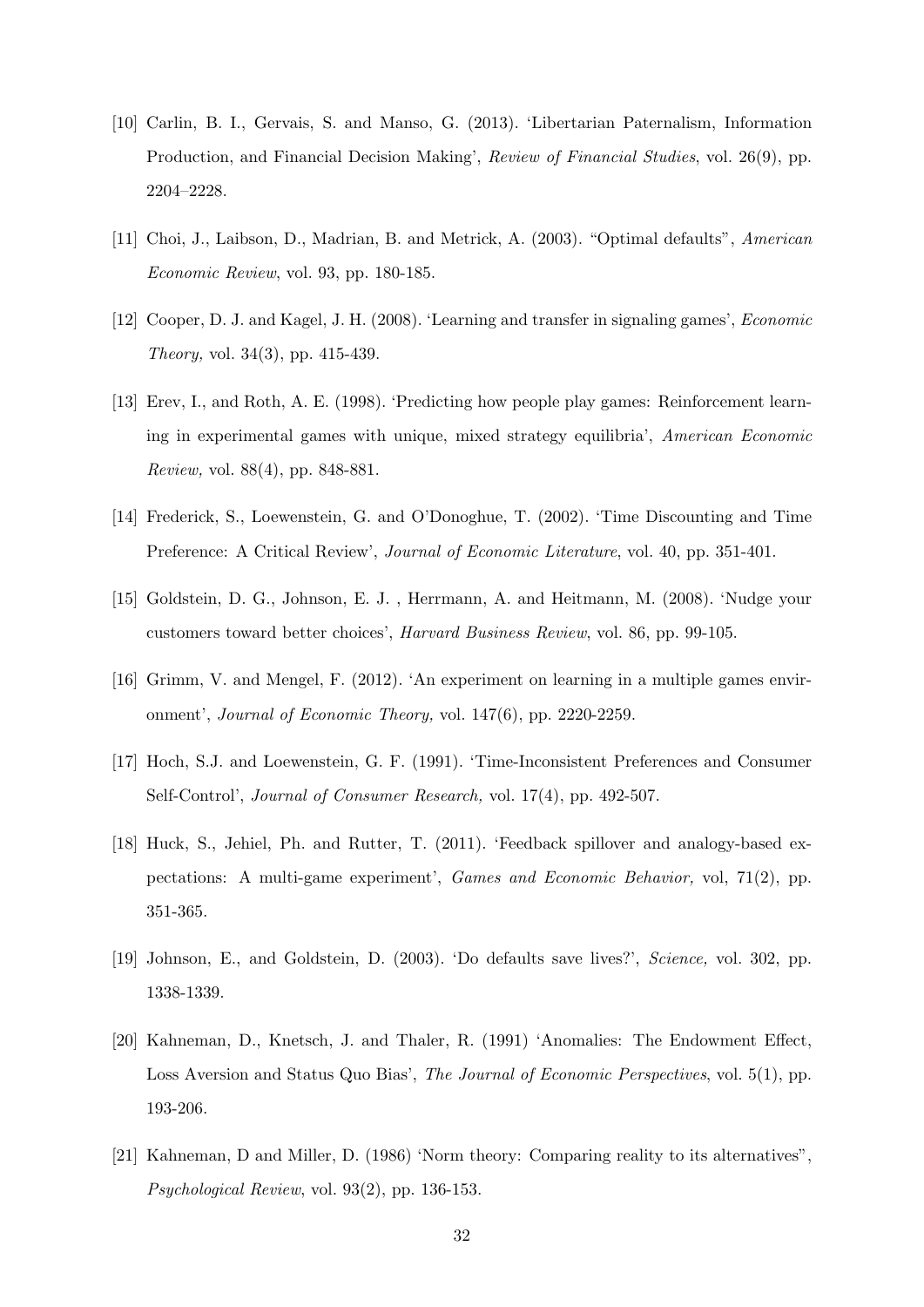- [10] Carlin, B. I., Gervais, S. and Manso, G. (2013). 'Libertarian Paternalism, Information Production, and Financial Decision Making', Review of Financial Studies, vol. 26(9), pp. 2204–2228.
- [11] Choi, J., Laibson, D., Madrian, B. and Metrick, A. (2003). "Optimal defaults", American Economic Review, vol. 93, pp. 180-185.
- [12] Cooper, D. J. and Kagel, J. H. (2008). 'Learning and transfer in signaling games', Economic Theory, vol. 34(3), pp. 415-439.
- [13] Erev, I., and Roth, A. E. (1998). 'Predicting how people play games: Reinforcement learning in experimental games with unique, mixed strategy equilibria', American Economic Review, vol. 88(4), pp. 848-881.
- [14] Frederick, S., Loewenstein, G. and O'Donoghue, T. (2002). 'Time Discounting and Time Preference: A Critical Review', Journal of Economic Literature, vol. 40, pp. 351-401.
- [15] Goldstein, D. G., Johnson, E. J. , Herrmann, A. and Heitmann, M. (2008). 'Nudge your customers toward better choices', Harvard Business Review, vol. 86, pp. 99-105.
- [16] Grimm, V. and Mengel, F. (2012). 'An experiment on learning in a multiple games environment', Journal of Economic Theory, vol. 147(6), pp. 2220-2259.
- [17] Hoch, S.J. and Loewenstein, G. F. (1991). 'Time-Inconsistent Preferences and Consumer Self-Control', Journal of Consumer Research, vol. 17(4), pp. 492-507.
- [18] Huck, S., Jehiel, Ph. and Rutter, T. (2011). 'Feedback spillover and analogy-based expectations: A multi-game experiment', Games and Economic Behavior, vol, 71(2), pp. 351-365.
- [19] Johnson, E., and Goldstein, D. (2003). 'Do defaults save lives?', Science, vol. 302, pp. 1338-1339.
- [20] Kahneman, D., Knetsch, J. and Thaler, R. (1991) 'Anomalies: The Endowment Effect, Loss Aversion and Status Quo Bias', *The Journal of Economic Perspectives*, vol. 5(1), pp. 193-206.
- [21] Kahneman, D and Miller, D. (1986) 'Norm theory: Comparing reality to its alternatives", Psychological Review, vol. 93(2), pp. 136-153.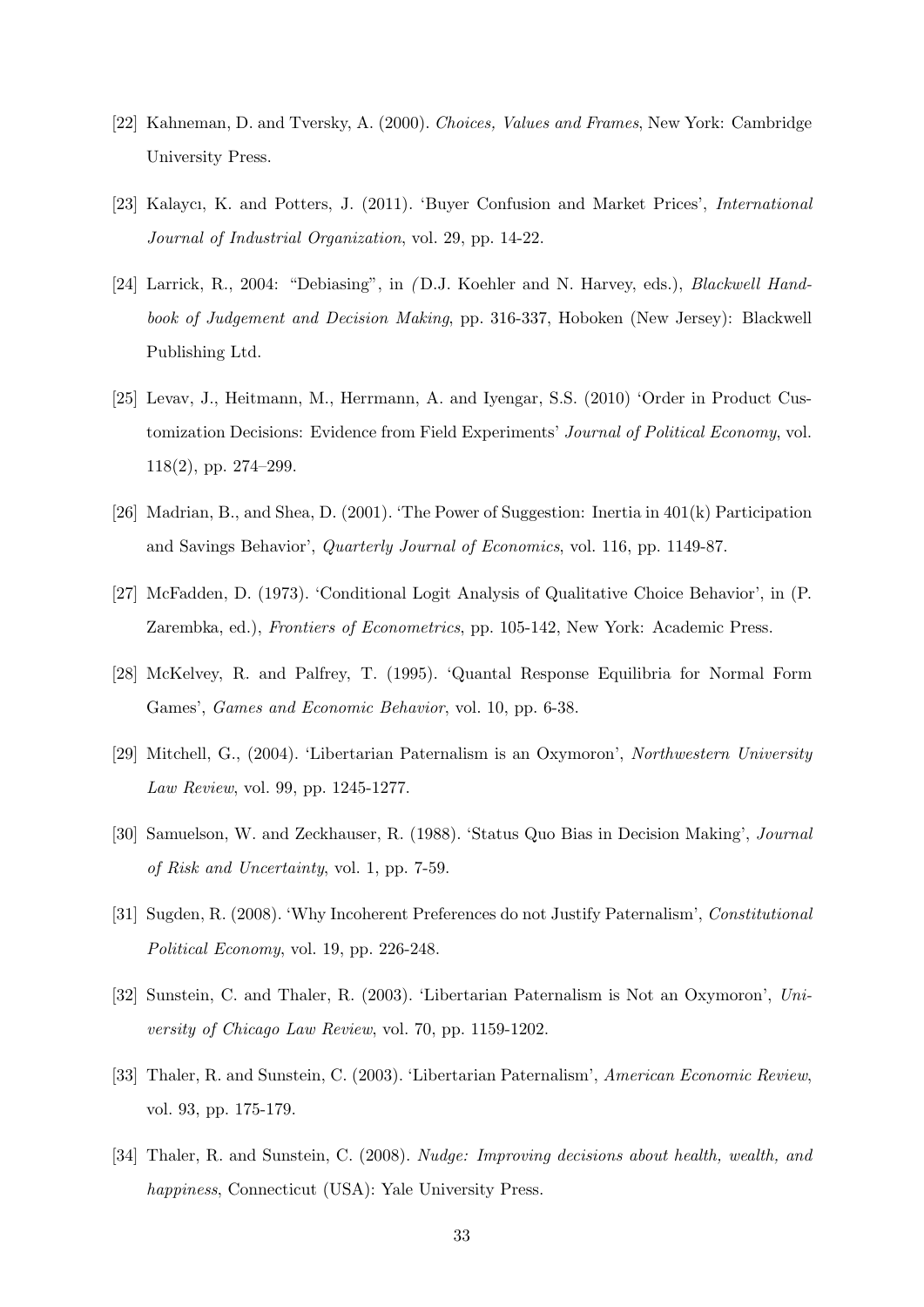- [22] Kahneman, D. and Tversky, A. (2000). Choices, Values and Frames, New York: Cambridge University Press.
- [23] Kalaycı, K. and Potters, J. (2011). 'Buyer Confusion and Market Prices', International Journal of Industrial Organization, vol. 29, pp. 14-22.
- [24] Larrick, R., 2004: "Debiasing", in (D.J. Koehler and N. Harvey, eds.), *Blackwell Hand*book of Judgement and Decision Making, pp. 316-337, Hoboken (New Jersey): Blackwell Publishing Ltd.
- [25] Levav, J., Heitmann, M., Herrmann, A. and Iyengar, S.S. (2010) 'Order in Product Customization Decisions: Evidence from Field Experiments' Journal of Political Economy, vol. 118(2), pp. 274–299.
- [26] Madrian, B., and Shea, D. (2001). 'The Power of Suggestion: Inertia in 401(k) Participation and Savings Behavior', Quarterly Journal of Economics, vol. 116, pp. 1149-87.
- [27] McFadden, D. (1973). 'Conditional Logit Analysis of Qualitative Choice Behavior', in (P. Zarembka, ed.), Frontiers of Econometrics, pp. 105-142, New York: Academic Press.
- [28] McKelvey, R. and Palfrey, T. (1995). 'Quantal Response Equilibria for Normal Form Games', Games and Economic Behavior, vol. 10, pp. 6-38.
- [29] Mitchell, G., (2004). 'Libertarian Paternalism is an Oxymoron', Northwestern University Law Review, vol. 99, pp. 1245-1277.
- [30] Samuelson, W. and Zeckhauser, R. (1988). 'Status Quo Bias in Decision Making', Journal of Risk and Uncertainty, vol. 1, pp. 7-59.
- [31] Sugden, R. (2008). 'Why Incoherent Preferences do not Justify Paternalism', Constitutional Political Economy, vol. 19, pp. 226-248.
- [32] Sunstein, C. and Thaler, R. (2003). 'Libertarian Paternalism is Not an Oxymoron', University of Chicago Law Review, vol. 70, pp. 1159-1202.
- [33] Thaler, R. and Sunstein, C. (2003). 'Libertarian Paternalism', American Economic Review, vol. 93, pp. 175-179.
- [34] Thaler, R. and Sunstein, C. (2008). Nudge: Improving decisions about health, wealth, and happiness, Connecticut (USA): Yale University Press.